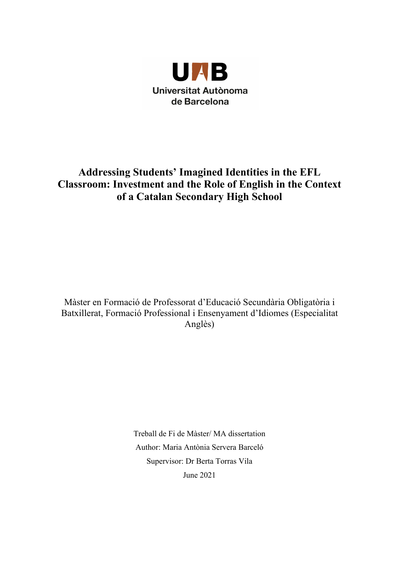

# **Addressing Students' Imagined Identities in the EFL Classroom: Investment and the Role of English in the Context of a Catalan Secondary High School**

Màster en Formació de Professorat d'Educació Secundària Obligatòria i Batxillerat, Formació Professional i Ensenyament d'Idiomes (Especialitat Anglès)

> Treball de Fi de Màster/ MA dissertation Author: Maria Antònia Servera Barceló Supervisor: Dr Berta Torras Vila June 2021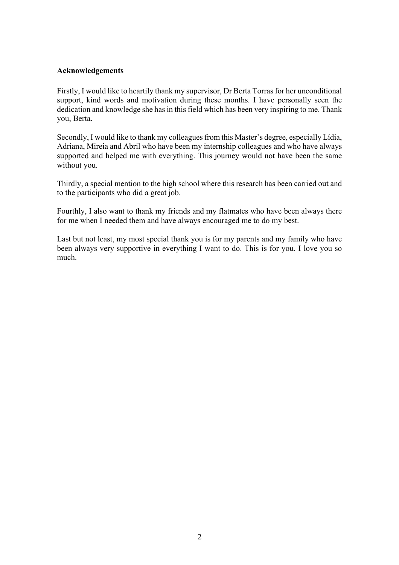## **Acknowledgements**

Firstly, I would like to heartily thank my supervisor, Dr Berta Torras for her unconditional support, kind words and motivation during these months. I have personally seen the dedication and knowledge she has in this field which has been very inspiring to me. Thank you, Berta.

Secondly, I would like to thank my colleagues from this Master's degree, especially Lídia, Adriana, Mireia and Abril who have been my internship colleagues and who have always supported and helped me with everything. This journey would not have been the same without you.

Thirdly, a special mention to the high school where this research has been carried out and to the participants who did a great job.

Fourthly, I also want to thank my friends and my flatmates who have been always there for me when I needed them and have always encouraged me to do my best.

Last but not least, my most special thank you is for my parents and my family who have been always very supportive in everything I want to do. This is for you. I love you so much.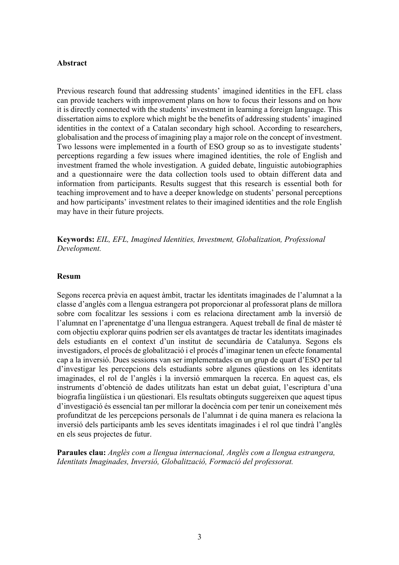### **Abstract**

Previous research found that addressing students' imagined identities in the EFL class can provide teachers with improvement plans on how to focus their lessons and on how it is directly connected with the students' investment in learning a foreign language. This dissertation aims to explore which might be the benefits of addressing students' imagined identities in the context of a Catalan secondary high school. According to researchers, globalisation and the process of imagining play a major role on the concept of investment. Two lessons were implemented in a fourth of ESO group so as to investigate students' perceptions regarding a few issues where imagined identities, the role of English and investment framed the whole investigation. A guided debate, linguistic autobiographies and a questionnaire were the data collection tools used to obtain different data and information from participants. Results suggest that this research is essential both for teaching improvement and to have a deeper knowledge on students' personal perceptions and how participants' investment relates to their imagined identities and the role English may have in their future projects.

**Keywords:** *EIL, EFL, Imagined Identities, Investment, Globalization, Professional Development.*

#### **Resum**

Segons recerca prèvia en aquest àmbit, tractar les identitats imaginades de l'alumnat a la classe d'anglès com a llengua estrangera pot proporcionar al professorat plans de millora sobre com focalitzar les sessions i com es relaciona directament amb la inversió de l'alumnat en l'aprenentatge d'una llengua estrangera. Aquest treball de final de màster té com objectiu explorar quins podrien ser els avantatges de tractar les identitats imaginades dels estudiants en el context d'un institut de secundària de Catalunya. Segons els investigadors, el procés de globalització i el procés d'imaginar tenen un efecte fonamental cap a la inversió. Dues sessions van ser implementades en un grup de quart d'ESO per tal d'investigar les percepcions dels estudiants sobre algunes qüestions on les identitats imaginades, el rol de l'anglès i la inversió emmarquen la recerca. En aquest cas, els instruments d'obtenció de dades utilitzats han estat un debat guiat, l'escriptura d'una biografia lingüística i un qüestionari. Els resultats obtinguts suggereixen que aquest tipus d'investigació és essencial tan per millorar la docència com per tenir un coneixement més profunditzat de les percepcions personals de l'alumnat i de quina manera es relaciona la inversió dels participants amb les seves identitats imaginades i el rol que tindrà l'anglès en els seus projectes de futur.

**Paraules clau:** *Anglès com a llengua internacional, Anglès com a llengua estrangera, Identitats Imaginades, Inversió, Globalització, Formació del professorat.*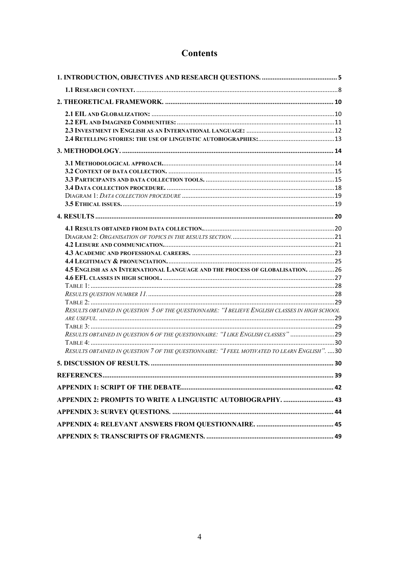# **Contents**

| 4.5 ENGLISH AS AN INTERNATIONAL LANGUAGE AND THE PROCESS OF GLOBALISATION. 26                  |  |
|------------------------------------------------------------------------------------------------|--|
|                                                                                                |  |
|                                                                                                |  |
|                                                                                                |  |
| RESULTS OBTAINED IN QUESTION 5 OF THE QUESTIONNAIRE: "I BELIEVE ENGLISH CLASSES IN HIGH SCHOOL |  |
|                                                                                                |  |
|                                                                                                |  |
| RESULTS OBTAINED IN QUESTION 6 OF THE QUESTIONNAIRE: "I LIKE ENGLISH CLASSES" 29               |  |
|                                                                                                |  |
| RESULTS OBTAINED IN QUESTION 7 OF THE QUESTIONNAIRE: "I FEEL MOTIVATED TO LEARN ENGLISH". 30   |  |
|                                                                                                |  |
|                                                                                                |  |
|                                                                                                |  |
| APPENDIX 2: PROMPTS TO WRITE A LINGUISTIC AUTOBIOGRAPHY.  43                                   |  |
|                                                                                                |  |
|                                                                                                |  |
|                                                                                                |  |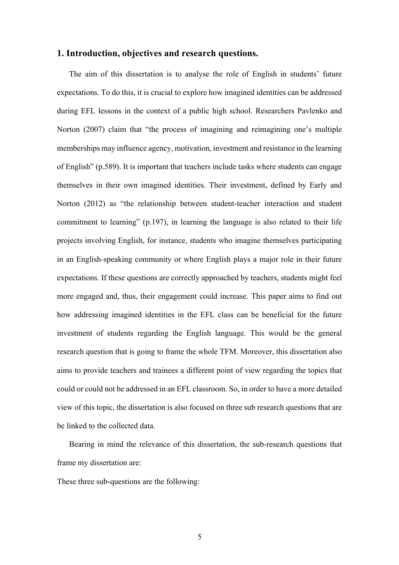## **1. Introduction, objectives and research questions.**

The aim of this dissertation is to analyse the role of English in students' future expectations. To do this, it is crucial to explore how imagined identities can be addressed during EFL lessons in the context of a public high school. Researchers Pavlenko and Norton (2007) claim that "the process of imagining and reimagining one's multiple memberships may influence agency, motivation, investment and resistance in the learning of English" (p.589). It is important that teachers include tasks where students can engage themselves in their own imagined identities. Their investment, defined by Early and Norton (2012) as "the relationship between student-teacher interaction and student commitment to learning" (p.197), in learning the language is also related to their life projects involving English, for instance, students who imagine themselves participating in an English-speaking community or where English plays a major role in their future expectations. If these questions are correctly approached by teachers, students might feel more engaged and, thus, their engagement could increase. This paper aims to find out how addressing imagined identities in the EFL class can be beneficial for the future investment of students regarding the English language. This would be the general research question that is going to frame the whole TFM. Moreover, this dissertation also aims to provide teachers and trainees a different point of view regarding the topics that could or could not be addressed in an EFL classroom. So, in order to have a more detailed view of this topic, the dissertation is also focused on three sub research questions that are be linked to the collected data.

Bearing in mind the relevance of this dissertation, the sub-research questions that frame my dissertation are:

These three sub-questions are the following: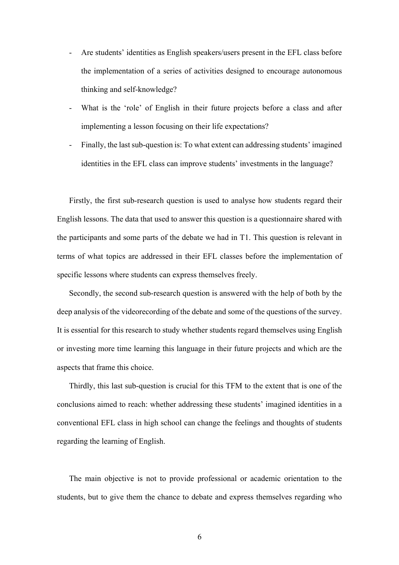- Are students' identities as English speakers/users present in the EFL class before the implementation of a series of activities designed to encourage autonomous thinking and self-knowledge?
- What is the 'role' of English in their future projects before a class and after implementing a lesson focusing on their life expectations?
- Finally, the last sub-question is: To what extent can addressing students' imagined identities in the EFL class can improve students' investments in the language?

Firstly, the first sub-research question is used to analyse how students regard their English lessons. The data that used to answer this question is a questionnaire shared with the participants and some parts of the debate we had in T1. This question is relevant in terms of what topics are addressed in their EFL classes before the implementation of specific lessons where students can express themselves freely.

Secondly, the second sub-research question is answered with the help of both by the deep analysis of the videorecording of the debate and some of the questions of the survey. It is essential for this research to study whether students regard themselves using English or investing more time learning this language in their future projects and which are the aspects that frame this choice.

Thirdly, this last sub-question is crucial for this TFM to the extent that is one of the conclusions aimed to reach: whether addressing these students' imagined identities in a conventional EFL class in high school can change the feelings and thoughts of students regarding the learning of English.

The main objective is not to provide professional or academic orientation to the students, but to give them the chance to debate and express themselves regarding who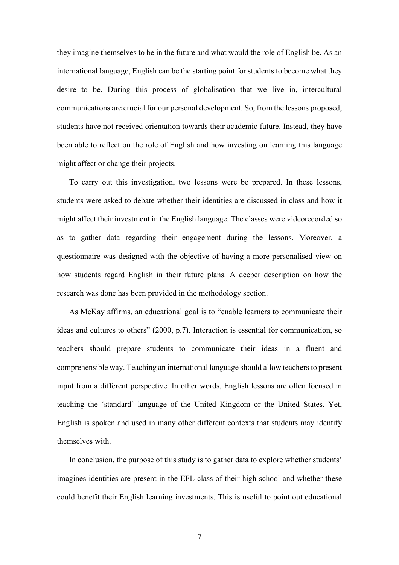they imagine themselves to be in the future and what would the role of English be. As an international language, English can be the starting point for students to become what they desire to be. During this process of globalisation that we live in, intercultural communications are crucial for our personal development. So, from the lessons proposed, students have not received orientation towards their academic future. Instead, they have been able to reflect on the role of English and how investing on learning this language might affect or change their projects.

To carry out this investigation, two lessons were be prepared. In these lessons, students were asked to debate whether their identities are discussed in class and how it might affect their investment in the English language. The classes were videorecorded so as to gather data regarding their engagement during the lessons. Moreover, a questionnaire was designed with the objective of having a more personalised view on how students regard English in their future plans. A deeper description on how the research was done has been provided in the methodology section.

As McKay affirms, an educational goal is to "enable learners to communicate their ideas and cultures to others" (2000, p.7). Interaction is essential for communication, so teachers should prepare students to communicate their ideas in a fluent and comprehensible way. Teaching an international language should allow teachers to present input from a different perspective. In other words, English lessons are often focused in teaching the 'standard' language of the United Kingdom or the United States. Yet, English is spoken and used in many other different contexts that students may identify themselves with.

In conclusion, the purpose of this study is to gather data to explore whether students' imagines identities are present in the EFL class of their high school and whether these could benefit their English learning investments. This is useful to point out educational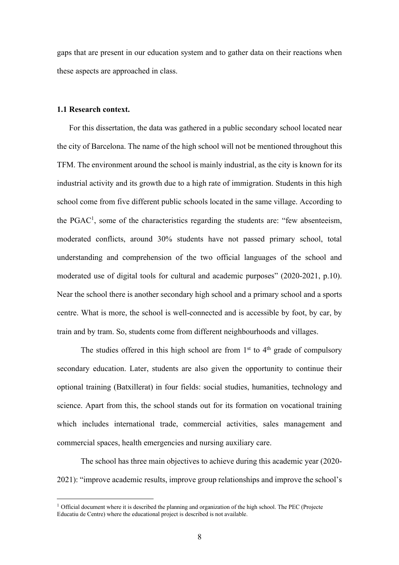gaps that are present in our education system and to gather data on their reactions when these aspects are approached in class.

#### **1.1 Research context.**

For this dissertation, the data was gathered in a public secondary school located near the city of Barcelona. The name of the high school will not be mentioned throughout this TFM. The environment around the school is mainly industrial, as the city is known for its industrial activity and its growth due to a high rate of immigration. Students in this high school come from five different public schools located in the same village. According to the  $PGAC<sup>1</sup>$ , some of the characteristics regarding the students are: "few absenteeism, moderated conflicts, around 30% students have not passed primary school, total understanding and comprehension of the two official languages of the school and moderated use of digital tools for cultural and academic purposes" (2020-2021, p.10). Near the school there is another secondary high school and a primary school and a sports centre. What is more, the school is well-connected and is accessible by foot, by car, by train and by tram. So, students come from different neighbourhoods and villages.

The studies offered in this high school are from  $1<sup>st</sup>$  to  $4<sup>th</sup>$  grade of compulsory secondary education. Later, students are also given the opportunity to continue their optional training (Batxillerat) in four fields: social studies, humanities, technology and science. Apart from this, the school stands out for its formation on vocational training which includes international trade, commercial activities, sales management and commercial spaces, health emergencies and nursing auxiliary care.

The school has three main objectives to achieve during this academic year (2020- 2021): "improve academic results, improve group relationships and improve the school's

 $1$  Official document where it is described the planning and organization of the high school. The PEC (Projecte Educatiu de Centre) where the educational project is described is not available.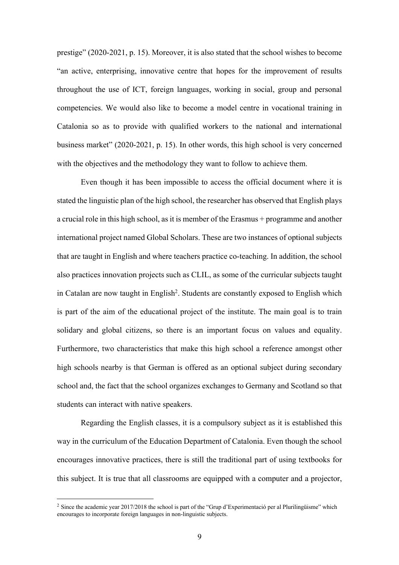prestige" (2020-2021, p. 15). Moreover, it is also stated that the school wishes to become "an active, enterprising, innovative centre that hopes for the improvement of results throughout the use of ICT, foreign languages, working in social, group and personal competencies. We would also like to become a model centre in vocational training in Catalonia so as to provide with qualified workers to the national and international business market" (2020-2021, p. 15). In other words, this high school is very concerned with the objectives and the methodology they want to follow to achieve them.

Even though it has been impossible to access the official document where it is stated the linguistic plan of the high school, the researcher has observed that English plays a crucial role in this high school, as it is member of the Erasmus + programme and another international project named Global Scholars. These are two instances of optional subjects that are taught in English and where teachers practice co-teaching. In addition, the school also practices innovation projects such as CLIL, as some of the curricular subjects taught in Catalan are now taught in English<sup>2</sup>. Students are constantly exposed to English which is part of the aim of the educational project of the institute. The main goal is to train solidary and global citizens, so there is an important focus on values and equality. Furthermore, two characteristics that make this high school a reference amongst other high schools nearby is that German is offered as an optional subject during secondary school and, the fact that the school organizes exchanges to Germany and Scotland so that students can interact with native speakers.

Regarding the English classes, it is a compulsory subject as it is established this way in the curriculum of the Education Department of Catalonia. Even though the school encourages innovative practices, there is still the traditional part of using textbooks for this subject. It is true that all classrooms are equipped with a computer and a projector,

<sup>&</sup>lt;sup>2</sup> Since the academic year 2017/2018 the school is part of the "Grup d'Experimentació per al Plurilingüisme" which encourages to incorporate foreign languages in non-linguistic subjects.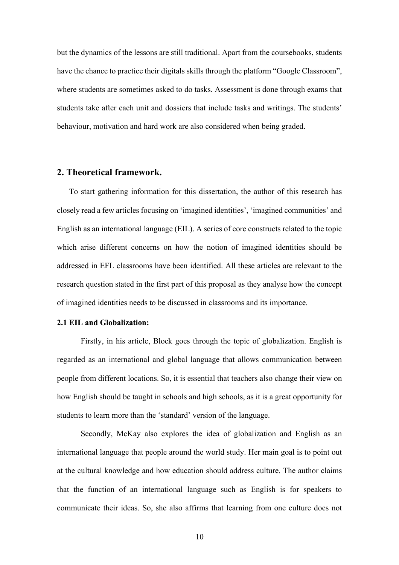but the dynamics of the lessons are still traditional. Apart from the coursebooks, students have the chance to practice their digitals skills through the platform "Google Classroom", where students are sometimes asked to do tasks. Assessment is done through exams that students take after each unit and dossiers that include tasks and writings. The students' behaviour, motivation and hard work are also considered when being graded.

## **2. Theoretical framework.**

To start gathering information for this dissertation, the author of this research has closely read a few articles focusing on 'imagined identities', 'imagined communities' and English as an international language (EIL). A series of core constructs related to the topic which arise different concerns on how the notion of imagined identities should be addressed in EFL classrooms have been identified. All these articles are relevant to the research question stated in the first part of this proposal as they analyse how the concept of imagined identities needs to be discussed in classrooms and its importance.

### **2.1 EIL and Globalization:**

Firstly, in his article, Block goes through the topic of globalization. English is regarded as an international and global language that allows communication between people from different locations. So, it is essential that teachers also change their view on how English should be taught in schools and high schools, as it is a great opportunity for students to learn more than the 'standard' version of the language.

Secondly, McKay also explores the idea of globalization and English as an international language that people around the world study. Her main goal is to point out at the cultural knowledge and how education should address culture. The author claims that the function of an international language such as English is for speakers to communicate their ideas. So, she also affirms that learning from one culture does not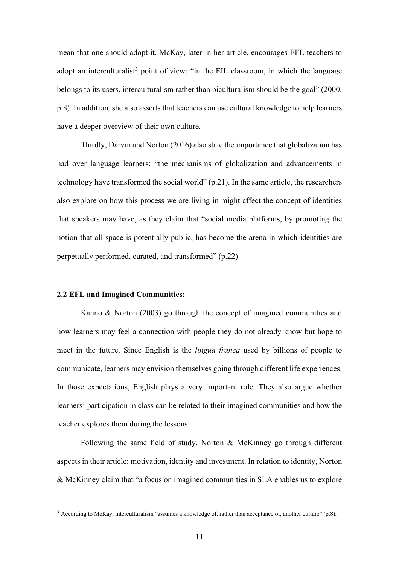mean that one should adopt it. McKay, later in her article, encourages EFL teachers to adopt an interculturalist<sup>3</sup> point of view: "in the EIL classroom, in which the language belongs to its users, interculturalism rather than biculturalism should be the goal" (2000, p.8). In addition, she also asserts that teachers can use cultural knowledge to help learners have a deeper overview of their own culture.

Thirdly, Darvin and Norton (2016) also state the importance that globalization has had over language learners: "the mechanisms of globalization and advancements in technology have transformed the social world" (p.21). In the same article, the researchers also explore on how this process we are living in might affect the concept of identities that speakers may have, as they claim that "social media platforms, by promoting the notion that all space is potentially public, has become the arena in which identities are perpetually performed, curated, and transformed" (p.22).

#### **2.2 EFL and Imagined Communities:**

Kanno & Norton (2003) go through the concept of imagined communities and how learners may feel a connection with people they do not already know but hope to meet in the future. Since English is the *lingua franca* used by billions of people to communicate, learners may envision themselves going through different life experiences. In those expectations, English plays a very important role. They also argue whether learners' participation in class can be related to their imagined communities and how the teacher explores them during the lessons.

Following the same field of study, Norton & McKinney go through different aspects in their article: motivation, identity and investment. In relation to identity, Norton & McKinney claim that "a focus on imagined communities in SLA enables us to explore

 $3$  According to McKay, interculturalism "assumes a knowledge of, rather than acceptance of, another culture" (p.8).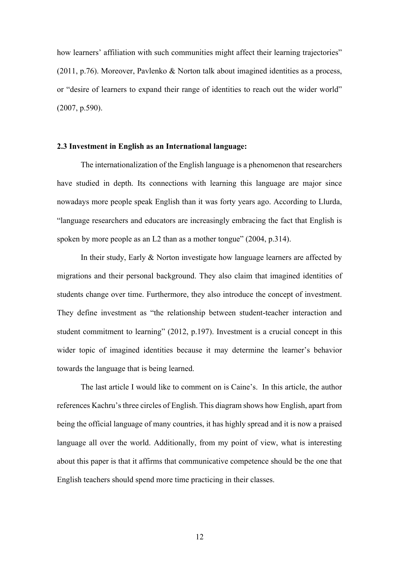how learners' affiliation with such communities might affect their learning trajectories" (2011, p.76). Moreover, Pavlenko & Norton talk about imagined identities as a process, or "desire of learners to expand their range of identities to reach out the wider world" (2007, p.590).

#### **2.3 Investment in English as an International language:**

The internationalization of the English language is a phenomenon that researchers have studied in depth. Its connections with learning this language are major since nowadays more people speak English than it was forty years ago. According to Llurda, "language researchers and educators are increasingly embracing the fact that English is spoken by more people as an L2 than as a mother tongue" (2004, p.314).

In their study, Early & Norton investigate how language learners are affected by migrations and their personal background. They also claim that imagined identities of students change over time. Furthermore, they also introduce the concept of investment. They define investment as "the relationship between student-teacher interaction and student commitment to learning" (2012, p.197). Investment is a crucial concept in this wider topic of imagined identities because it may determine the learner's behavior towards the language that is being learned.

The last article I would like to comment on is Caine's. In this article, the author references Kachru's three circles of English. This diagram shows how English, apart from being the official language of many countries, it has highly spread and it is now a praised language all over the world. Additionally, from my point of view, what is interesting about this paper is that it affirms that communicative competence should be the one that English teachers should spend more time practicing in their classes.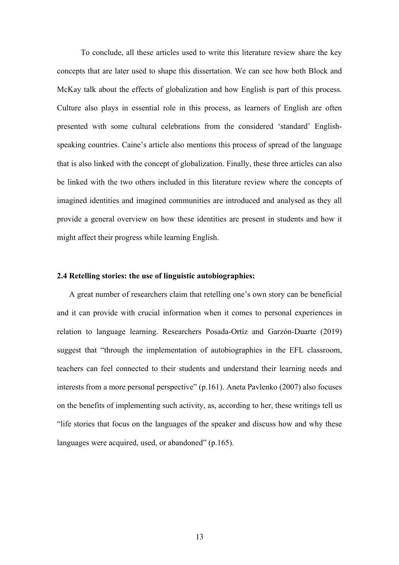To conclude, all these articles used to write this literature review share the key concepts that are later used to shape this dissertation. We can see how both Block and McKay talk about the effects of globalization and how English is part of this process. Culture also plays in essential role in this process, as learners of English are often presented with some cultural celebrations from the considered 'standard' Englishspeaking countries. Caine's article also mentions this process of spread of the language that is also linked with the concept of globalization. Finally, these three articles can also be linked with the two others included in this literature review where the concepts of imagined identities and imagined communities are introduced and analysed as they all provide a general overview on how these identities are present in students and how it might affect their progress while learning English.

## **2.4 Retelling stories: the use of linguistic autobiographies:**

A great number of researchers claim that retelling one's own story can be beneficial and it can provide with crucial information when it comes to personal experiences in relation to language learning. Researchers Posada-Ortíz and Garzón-Duarte (2019) suggest that "through the implementation of autobiographies in the EFL classroom, teachers can feel connected to their students and understand their learning needs and interests from a more personal perspective" (p.161). Aneta Pavlenko (2007) also focuses on the benefits of implementing such activity, as, according to her, these writings tell us "life stories that focus on the languages of the speaker and discuss how and why these languages were acquired, used, or abandoned" (p.165).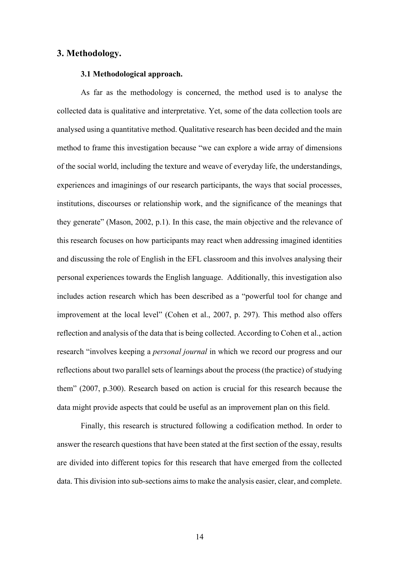## **3. Methodology.**

#### **3.1 Methodological approach.**

As far as the methodology is concerned, the method used is to analyse the collected data is qualitative and interpretative. Yet, some of the data collection tools are analysed using a quantitative method. Qualitative research has been decided and the main method to frame this investigation because "we can explore a wide array of dimensions of the social world, including the texture and weave of everyday life, the understandings, experiences and imaginings of our research participants, the ways that social processes, institutions, discourses or relationship work, and the significance of the meanings that they generate" (Mason, 2002, p.1). In this case, the main objective and the relevance of this research focuses on how participants may react when addressing imagined identities and discussing the role of English in the EFL classroom and this involves analysing their personal experiences towards the English language. Additionally, this investigation also includes action research which has been described as a "powerful tool for change and improvement at the local level" (Cohen et al., 2007, p. 297). This method also offers reflection and analysis of the data that is being collected. According to Cohen et al., action research "involves keeping a *personal journal* in which we record our progress and our reflections about two parallel sets of learnings about the process (the practice) of studying them" (2007, p.300). Research based on action is crucial for this research because the data might provide aspects that could be useful as an improvement plan on this field.

Finally, this research is structured following a codification method. In order to answer the research questions that have been stated at the first section of the essay, results are divided into different topics for this research that have emerged from the collected data. This division into sub-sections aims to make the analysis easier, clear, and complete.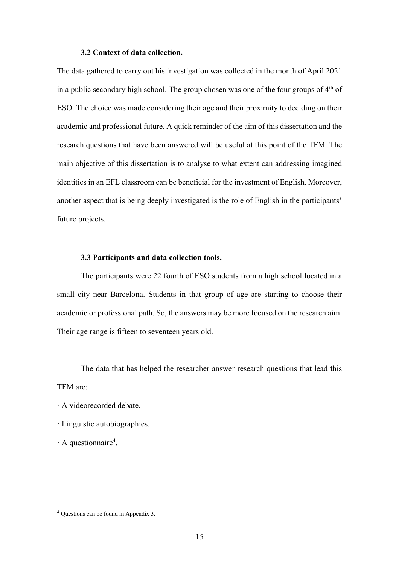## **3.2 Context of data collection.**

The data gathered to carry out his investigation was collected in the month of April 2021 in a public secondary high school. The group chosen was one of the four groups of  $4<sup>th</sup>$  of ESO. The choice was made considering their age and their proximity to deciding on their academic and professional future. A quick reminder of the aim of this dissertation and the research questions that have been answered will be useful at this point of the TFM. The main objective of this dissertation is to analyse to what extent can addressing imagined identities in an EFL classroom can be beneficial for the investment of English. Moreover, another aspect that is being deeply investigated is the role of English in the participants' future projects.

#### **3.3 Participants and data collection tools.**

The participants were 22 fourth of ESO students from a high school located in a small city near Barcelona. Students in that group of age are starting to choose their academic or professional path. So, the answers may be more focused on the research aim. Their age range is fifteen to seventeen years old.

The data that has helped the researcher answer research questions that lead this TFM are:

- · A videorecorded debate.
- · Linguistic autobiographies.
- $\cdot$  A questionnaire<sup>4</sup>.

<sup>4</sup> Questions can be found in Appendix 3.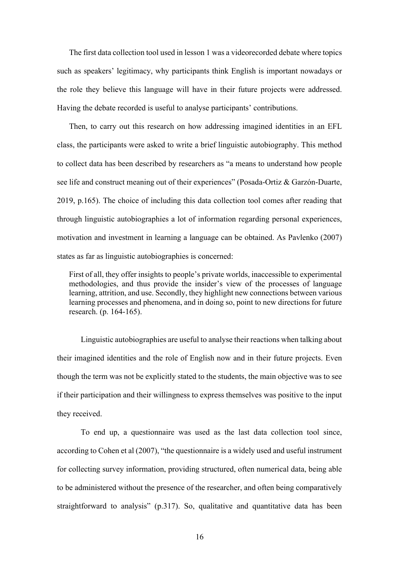The first data collection tool used in lesson 1 was a videorecorded debate where topics such as speakers' legitimacy, why participants think English is important nowadays or the role they believe this language will have in their future projects were addressed. Having the debate recorded is useful to analyse participants' contributions.

Then, to carry out this research on how addressing imagined identities in an EFL class, the participants were asked to write a brief linguistic autobiography. This method to collect data has been described by researchers as "a means to understand how people see life and construct meaning out of their experiences" (Posada-Ortiz & Garzón-Duarte, 2019, p.165). The choice of including this data collection tool comes after reading that through linguistic autobiographies a lot of information regarding personal experiences, motivation and investment in learning a language can be obtained. As Pavlenko (2007) states as far as linguistic autobiographies is concerned:

First of all, they offer insights to people's private worlds, inaccessible to experimental methodologies, and thus provide the insider's view of the processes of language learning, attrition, and use. Secondly, they highlight new connections between various learning processes and phenomena, and in doing so, point to new directions for future research. (p. 164-165).

Linguistic autobiographies are useful to analyse their reactions when talking about their imagined identities and the role of English now and in their future projects. Even though the term was not be explicitly stated to the students, the main objective was to see if their participation and their willingness to express themselves was positive to the input they received.

To end up, a questionnaire was used as the last data collection tool since, according to Cohen et al (2007), "the questionnaire is a widely used and useful instrument for collecting survey information, providing structured, often numerical data, being able to be administered without the presence of the researcher, and often being comparatively straightforward to analysis" (p.317). So, qualitative and quantitative data has been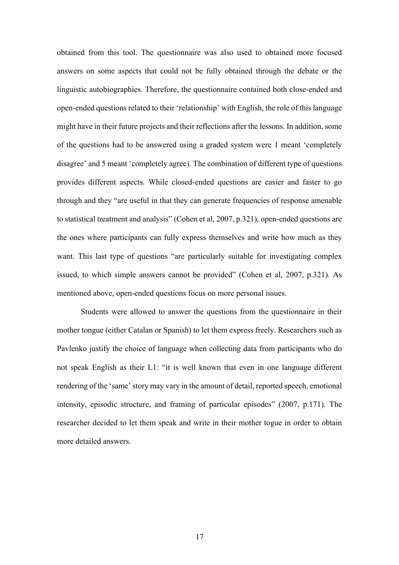obtained from this tool. The questionnaire was also used to obtained more focused answers on some aspects that could not be fully obtained through the debate or the linguistic autobiographies. Therefore, the questionnaire contained both close-ended and open-ended questions related to their 'relationship' with English, the role of this language might have in their future projects and their reflections after the lessons. In addition, some of the questions had to be answered using a graded system were 1 meant 'completely disagree' and 5 meant 'completely agree). The combination of different type of questions provides different aspects. While closed-ended questions are easier and faster to go through and they "are useful in that they can generate frequencies of response amenable to statistical treatment and analysis" (Cohen et al, 2007, p.321), open-ended questions are the ones where participants can fully express themselves and write how much as they want. This last type of questions "are particularly suitable for investigating complex issued, to which simple answers cannot be provided" (Cohen et al, 2007, p.321). As mentioned above, open-ended questions focus on more personal issues.

Students were allowed to answer the questions from the questionnaire in their mother tongue (either Catalan or Spanish) to let them express freely. Researchers such as Pavlenko justify the choice of language when collecting data from participants who do not speak English as their L1: "it is well known that even in one language different rendering of the 'same' story may vary in the amount of detail, reported speech, emotional intensity, episodic structure, and framing of particular episodes" (2007, p.171). The researcher decided to let them speak and write in their mother togue in order to obtain more detailed answers.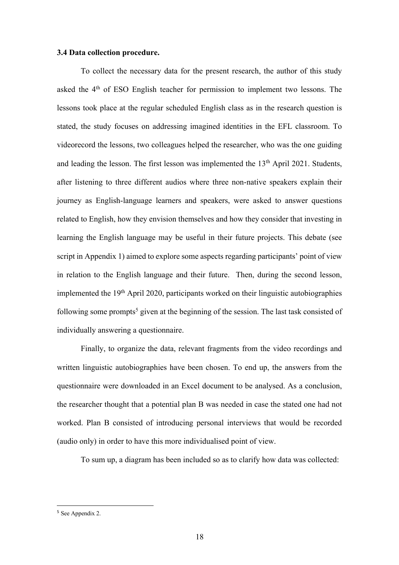#### **3.4 Data collection procedure.**

To collect the necessary data for the present research, the author of this study asked the  $4<sup>th</sup>$  of ESO English teacher for permission to implement two lessons. The lessons took place at the regular scheduled English class as in the research question is stated, the study focuses on addressing imagined identities in the EFL classroom. To videorecord the lessons, two colleagues helped the researcher, who was the one guiding and leading the lesson. The first lesson was implemented the  $13<sup>th</sup>$  April 2021. Students, after listening to three different audios where three non-native speakers explain their journey as English-language learners and speakers, were asked to answer questions related to English, how they envision themselves and how they consider that investing in learning the English language may be useful in their future projects. This debate (see script in Appendix 1) aimed to explore some aspects regarding participants' point of view in relation to the English language and their future. Then, during the second lesson, implemented the  $19<sup>th</sup>$  April 2020, participants worked on their linguistic autobiographies following some prompts<sup>5</sup> given at the beginning of the session. The last task consisted of individually answering a questionnaire.

Finally, to organize the data, relevant fragments from the video recordings and written linguistic autobiographies have been chosen. To end up, the answers from the questionnaire were downloaded in an Excel document to be analysed. As a conclusion, the researcher thought that a potential plan B was needed in case the stated one had not worked. Plan B consisted of introducing personal interviews that would be recorded (audio only) in order to have this more individualised point of view.

To sum up, a diagram has been included so as to clarify how data was collected:

<sup>5</sup> See Appendix 2.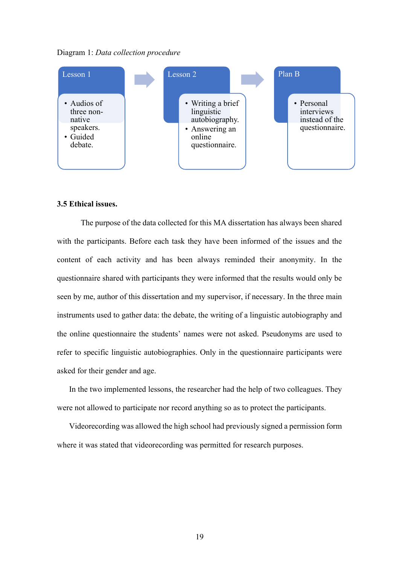Diagram 1: *Data collection procedure*



## **3.5 Ethical issues.**

The purpose of the data collected for this MA dissertation has always been shared with the participants. Before each task they have been informed of the issues and the content of each activity and has been always reminded their anonymity. In the questionnaire shared with participants they were informed that the results would only be seen by me, author of this dissertation and my supervisor, if necessary. In the three main instruments used to gather data: the debate, the writing of a linguistic autobiography and the online questionnaire the students' names were not asked. Pseudonyms are used to refer to specific linguistic autobiographies. Only in the questionnaire participants were asked for their gender and age.

In the two implemented lessons, the researcher had the help of two colleagues. They were not allowed to participate nor record anything so as to protect the participants.

Videorecording was allowed the high school had previously signed a permission form where it was stated that videorecording was permitted for research purposes.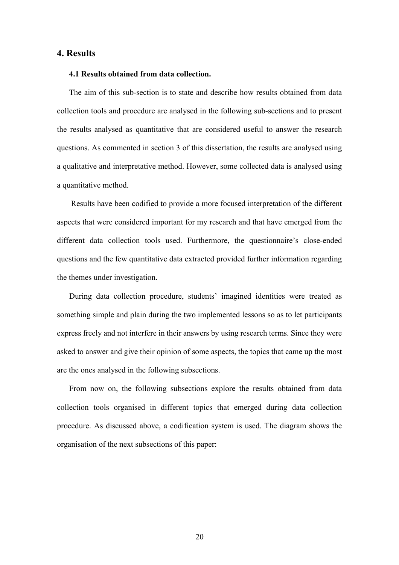## **4. Results**

#### **4.1 Results obtained from data collection.**

The aim of this sub-section is to state and describe how results obtained from data collection tools and procedure are analysed in the following sub-sections and to present the results analysed as quantitative that are considered useful to answer the research questions. As commented in section 3 of this dissertation, the results are analysed using a qualitative and interpretative method. However, some collected data is analysed using a quantitative method.

Results have been codified to provide a more focused interpretation of the different aspects that were considered important for my research and that have emerged from the different data collection tools used. Furthermore, the questionnaire's close-ended questions and the few quantitative data extracted provided further information regarding the themes under investigation.

During data collection procedure, students' imagined identities were treated as something simple and plain during the two implemented lessons so as to let participants express freely and not interfere in their answers by using research terms. Since they were asked to answer and give their opinion of some aspects, the topics that came up the most are the ones analysed in the following subsections.

From now on, the following subsections explore the results obtained from data collection tools organised in different topics that emerged during data collection procedure. As discussed above, a codification system is used. The diagram shows the organisation of the next subsections of this paper: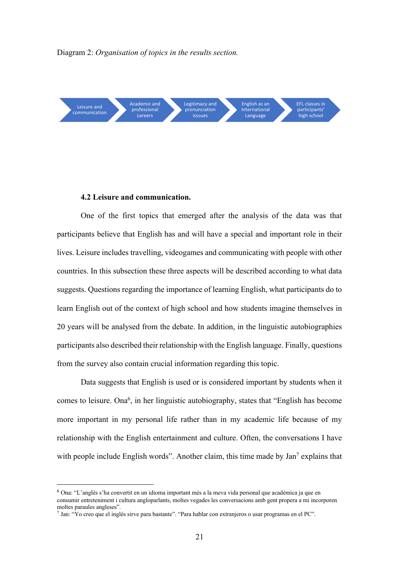#### Diagram 2: *Organisation of topics in the results section.*



#### **4.2 Leisure and communication.**

One of the first topics that emerged after the analysis of the data was that participants believe that English has and will have a special and important role in their lives. Leisure includes travelling, videogames and communicating with people with other countries. In this subsection these three aspects will be described according to what data suggests. Questions regarding the importance of learning English, what participants do to learn English out of the context of high school and how students imagine themselves in 20 years will be analysed from the debate. In addition, in the linguistic autobiographies participants also described their relationship with the English language. Finally, questions from the survey also contain crucial information regarding this topic.

Data suggests that English is used or is considered important by students when it comes to leisure. Ona<sup>6</sup>, in her linguistic autobiography, states that "English has become more important in my personal life rather than in my academic life because of my relationship with the English entertainment and culture. Often, the conversations I have with people include English words". Another claim, this time made by Jan<sup>7</sup> explains that

<sup>6</sup> Ona: "L'anglès s'ha convertit en un idioma important més a la meva vida personal que acadèmica ja que en consumir entreteniment i cultura angloparlants, moltes vegades les conversacions amb gent propera a mi incorporen moltes paraules angleses".

<sup>7</sup> Jan: "Yo creo que el inglés sirve para bastante". "Para hablar con extranjeros o usar programas en el PC".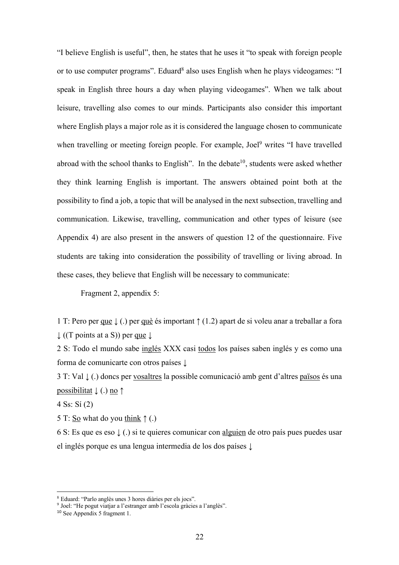"I believe English is useful", then, he states that he uses it "to speak with foreign people or to use computer programs". Eduard<sup>8</sup> also uses English when he plays videogames: "I speak in English three hours a day when playing videogames". When we talk about leisure, travelling also comes to our minds. Participants also consider this important where English plays a major role as it is considered the language chosen to communicate when travelling or meeting foreign people. For example, Joel<sup>9</sup> writes "I have travelled abroad with the school thanks to English". In the debate<sup>10</sup>, students were asked whether they think learning English is important. The answers obtained point both at the possibility to find a job, a topic that will be analysed in the next subsection, travelling and communication. Likewise, travelling, communication and other types of leisure (see Appendix 4) are also present in the answers of question 12 of the questionnaire. Five students are taking into consideration the possibility of travelling or living abroad. In these cases, they believe that English will be necessary to communicate:

Fragment 2, appendix 5:

1 T: Pero per que ↓ (.) per què és important ↑ (1.2) apart de si voleu anar a treballar a fora  $\downarrow$  ((T points at a S)) per que  $\downarrow$ 

2 S: Todo el mundo sabe inglés XXX casi todos los países saben inglés y es como una forma de comunicarte con otros países ↓

3 T: Val ↓ (.) doncs per vosaltres la possible comunicació amb gent d'altres països és una possibilitat ↓ (.) no ↑

4 Ss: Sí (2)

5 T: So what do you think  $\uparrow$  (.)

6 S: Es que es eso ↓ (.) si te quieres comunicar con alguien de otro país pues puedes usar el inglés porque es una lengua intermedia de los dos países ↓

<sup>8</sup> Eduard: "Parlo anglès unes 3 hores diàries per els jocs".

<sup>9</sup> Joel: "He pogut viatjar a l'estranger amb l'escola gràcies a l'anglès".

<sup>10</sup> See Appendix 5 fragment 1.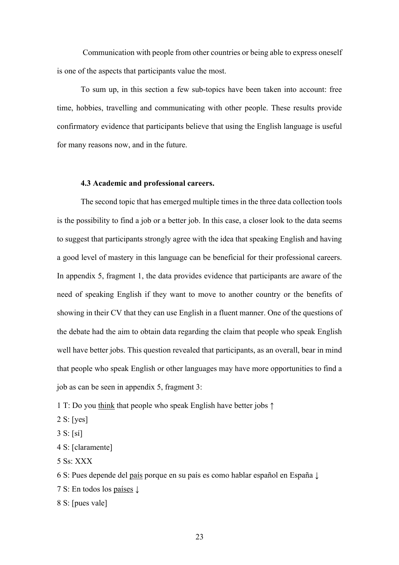Communication with people from other countries or being able to express oneself is one of the aspects that participants value the most.

To sum up, in this section a few sub-topics have been taken into account: free time, hobbies, travelling and communicating with other people. These results provide confirmatory evidence that participants believe that using the English language is useful for many reasons now, and in the future.

#### **4.3 Academic and professional careers.**

The second topic that has emerged multiple times in the three data collection tools is the possibility to find a job or a better job. In this case, a closer look to the data seems to suggest that participants strongly agree with the idea that speaking English and having a good level of mastery in this language can be beneficial for their professional careers. In appendix 5, fragment 1, the data provides evidence that participants are aware of the need of speaking English if they want to move to another country or the benefits of showing in their CV that they can use English in a fluent manner. One of the questions of the debate had the aim to obtain data regarding the claim that people who speak English well have better jobs. This question revealed that participants, as an overall, bear in mind that people who speak English or other languages may have more opportunities to find a job as can be seen in appendix 5, fragment 3:

1 T: Do you think that people who speak English have better jobs ↑

- 2 S: [yes]
- 3 S: [sí]
- 4 S: [claramente]
- 5 Ss: XXX

6 S: Pues depende del país porque en su país es como hablar español en España ↓ 7 S: En todos los países ↓ 8 S: [pues vale]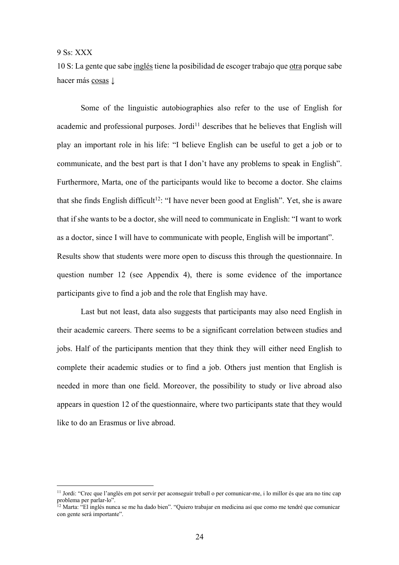### 9 Ss: XXX

10 S: La gente que sabe inglés tiene la posibilidad de escoger trabajo que otra porque sabe hacer más cosas ↓

Some of the linguistic autobiographies also refer to the use of English for academic and professional purposes. Jordi<sup>11</sup> describes that he believes that English will play an important role in his life: "I believe English can be useful to get a job or to communicate, and the best part is that I don't have any problems to speak in English". Furthermore, Marta, one of the participants would like to become a doctor. She claims that she finds English difficult<sup>12</sup>: "I have never been good at English". Yet, she is aware that if she wants to be a doctor, she will need to communicate in English: "I want to work as a doctor, since I will have to communicate with people, English will be important". Results show that students were more open to discuss this through the questionnaire. In question number 12 (see Appendix 4), there is some evidence of the importance participants give to find a job and the role that English may have.

Last but not least, data also suggests that participants may also need English in their academic careers. There seems to be a significant correlation between studies and jobs. Half of the participants mention that they think they will either need English to complete their academic studies or to find a job. Others just mention that English is needed in more than one field. Moreover, the possibility to study or live abroad also appears in question 12 of the questionnaire, where two participants state that they would like to do an Erasmus or live abroad.

<sup>11</sup> Jordi: "Crec que l'anglès em pot servir per aconseguir treball o per comunicar-me, i lo millor és que ara no tinc cap problema per parlar-lo".

 $12$  Marta: "El inglés nunca se me ha dado bien". "Quiero trabajar en medicina así que como me tendré que comunicar con gente será importante".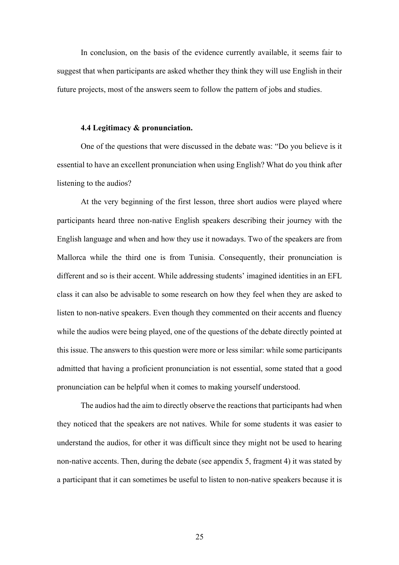In conclusion, on the basis of the evidence currently available, it seems fair to suggest that when participants are asked whether they think they will use English in their future projects, most of the answers seem to follow the pattern of jobs and studies.

#### **4.4 Legitimacy & pronunciation.**

One of the questions that were discussed in the debate was: "Do you believe is it essential to have an excellent pronunciation when using English? What do you think after listening to the audios?

At the very beginning of the first lesson, three short audios were played where participants heard three non-native English speakers describing their journey with the English language and when and how they use it nowadays. Two of the speakers are from Mallorca while the third one is from Tunisia. Consequently, their pronunciation is different and so is their accent. While addressing students' imagined identities in an EFL class it can also be advisable to some research on how they feel when they are asked to listen to non-native speakers. Even though they commented on their accents and fluency while the audios were being played, one of the questions of the debate directly pointed at this issue. The answers to this question were more or less similar: while some participants admitted that having a proficient pronunciation is not essential, some stated that a good pronunciation can be helpful when it comes to making yourself understood.

The audios had the aim to directly observe the reactions that participants had when they noticed that the speakers are not natives. While for some students it was easier to understand the audios, for other it was difficult since they might not be used to hearing non-native accents. Then, during the debate (see appendix 5, fragment 4) it was stated by a participant that it can sometimes be useful to listen to non-native speakers because it is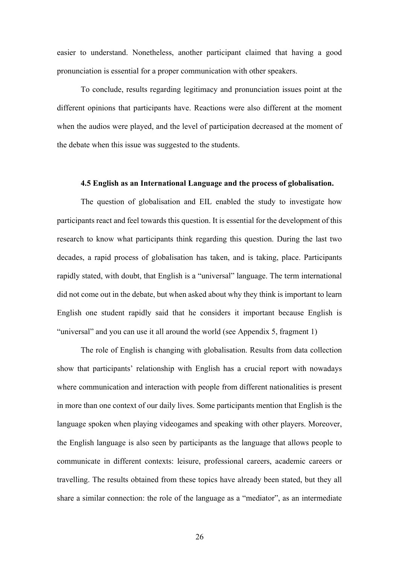easier to understand. Nonetheless, another participant claimed that having a good pronunciation is essential for a proper communication with other speakers.

To conclude, results regarding legitimacy and pronunciation issues point at the different opinions that participants have. Reactions were also different at the moment when the audios were played, and the level of participation decreased at the moment of the debate when this issue was suggested to the students.

## **4.5 English as an International Language and the process of globalisation.**

The question of globalisation and EIL enabled the study to investigate how participants react and feel towards this question. It is essential for the development of this research to know what participants think regarding this question. During the last two decades, a rapid process of globalisation has taken, and is taking, place. Participants rapidly stated, with doubt, that English is a "universal" language. The term international did not come out in the debate, but when asked about why they think is important to learn English one student rapidly said that he considers it important because English is "universal" and you can use it all around the world (see Appendix 5, fragment 1)

The role of English is changing with globalisation. Results from data collection show that participants' relationship with English has a crucial report with nowadays where communication and interaction with people from different nationalities is present in more than one context of our daily lives. Some participants mention that English is the language spoken when playing videogames and speaking with other players. Moreover, the English language is also seen by participants as the language that allows people to communicate in different contexts: leisure, professional careers, academic careers or travelling. The results obtained from these topics have already been stated, but they all share a similar connection: the role of the language as a "mediator", as an intermediate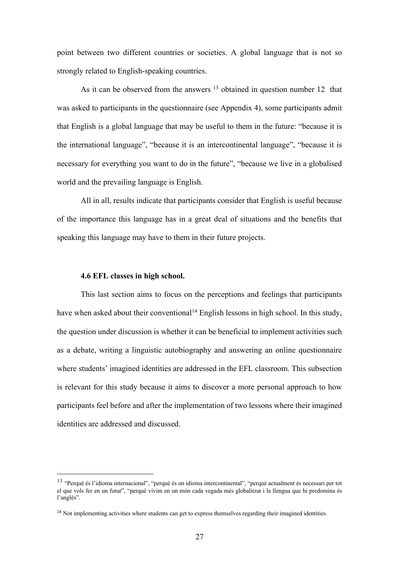point between two different countries or societies. A global language that is not so strongly related to English-speaking countries.

As it can be observed from the answers  $13$  obtained in question number 12 that was asked to participants in the questionnaire (see Appendix 4), some participants admit that English is a global language that may be useful to them in the future: "because it is the international language", "because it is an intercontinental language", "because it is necessary for everything you want to do in the future", "because we live in a globalised world and the prevailing language is English.

All in all, results indicate that participants consider that English is useful because of the importance this language has in a great deal of situations and the benefits that speaking this language may have to them in their future projects.

## **4.6 EFL classes in high school.**

This last section aims to focus on the perceptions and feelings that participants have when asked about their conventional<sup>14</sup> English lessons in high school. In this study, the question under discussion is whether it can be beneficial to implement activities such as a debate, writing a linguistic autobiography and answering an online questionnaire where students' imagined identities are addressed in the EFL classroom. This subsection is relevant for this study because it aims to discover a more personal approach to how participants feel before and after the implementation of two lessons where their imagined identities are addressed and discussed.

<sup>13</sup> "Perquè és l'idioma internacional", "perquè és un idioma intercontinental", "perquè actualment és necessari per tot el que vols fer en un futur", "perquè vivim en un món cada vegada més globalitzat i la llengua que hi predomina és l'anglès".

<sup>&</sup>lt;sup>14</sup> Not implementing activities where students can get to express themselves regarding their imagined identities.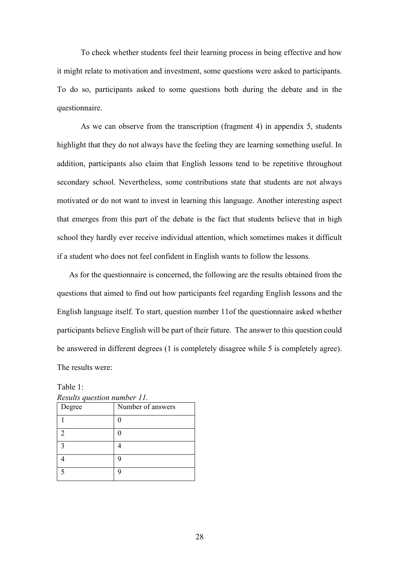To check whether students feel their learning process in being effective and how it might relate to motivation and investment, some questions were asked to participants. To do so, participants asked to some questions both during the debate and in the questionnaire.

As we can observe from the transcription (fragment 4) in appendix 5, students highlight that they do not always have the feeling they are learning something useful. In addition, participants also claim that English lessons tend to be repetitive throughout secondary school. Nevertheless, some contributions state that students are not always motivated or do not want to invest in learning this language. Another interesting aspect that emerges from this part of the debate is the fact that students believe that in high school they hardly ever receive individual attention, which sometimes makes it difficult if a student who does not feel confident in English wants to follow the lessons.

As for the questionnaire is concerned, the following are the results obtained from the questions that aimed to find out how participants feel regarding English lessons and the English language itself. To start, question number 11of the questionnaire asked whether participants believe English will be part of their future. The answer to this question could be answered in different degrees (1 is completely disagree while 5 is completely agree). The results were:

| Degree | Results question number 11.<br>Number of answers |
|--------|--------------------------------------------------|
|        |                                                  |
|        |                                                  |
|        |                                                  |
|        | 9                                                |
|        | q                                                |

Table 1: *Results question number 11.*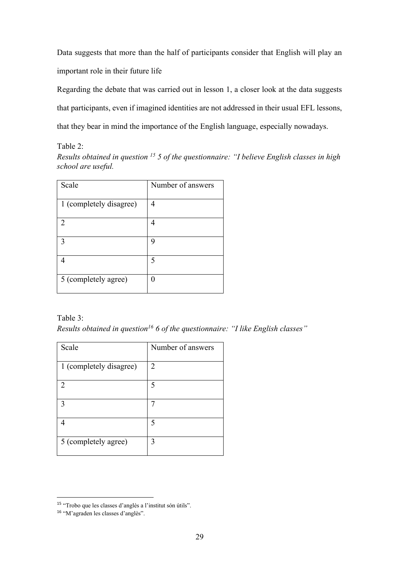Data suggests that more than the half of participants consider that English will play an important role in their future life

Regarding the debate that was carried out in lesson 1, a closer look at the data suggests that participants, even if imagined identities are not addressed in their usual EFL lessons, that they bear in mind the importance of the English language, especially nowadays.

Table 2:

*Results obtained in question 15 5 of the questionnaire: "I believe English classes in high school are useful.*

| Scale                   | Number of answers |
|-------------------------|-------------------|
| 1 (completely disagree) | 4                 |
| $\mathcal{P}$           |                   |
|                         | y                 |
|                         | 5                 |
| 5 (completely agree)    |                   |

Table 3:

*Results obtained in question16 6 of the questionnaire: "I like English classes"* 

| Scale                   | Number of answers |
|-------------------------|-------------------|
| 1 (completely disagree) | 2                 |
| $\mathfrak{D}$          | 5                 |
| 3                       | 7                 |
|                         | 5                 |
| 5 (completely agree)    | 3                 |

<sup>15</sup> "Trobo que les classes d'anglès a l'institut són útils".

<sup>16</sup> "M'agraden les classes d'anglès".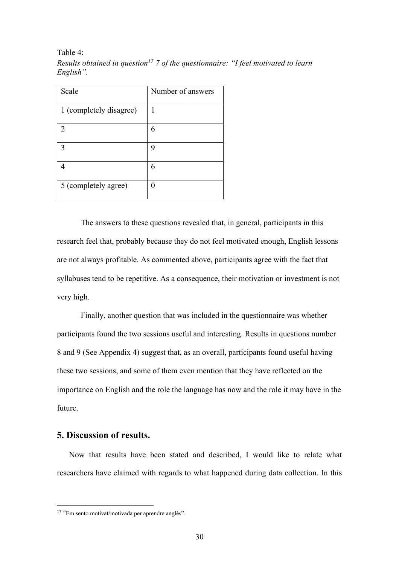### Table 4:

| Scale                   | Number of answers |
|-------------------------|-------------------|
| 1 (completely disagree) |                   |
| $\mathfrak{D}$          | 6                 |
|                         | q                 |
|                         | 6                 |
| 5 (completely agree)    |                   |

*Results obtained in question17 7 of the questionnaire: "I feel motivated to learn English".* 

The answers to these questions revealed that, in general, participants in this research feel that, probably because they do not feel motivated enough, English lessons are not always profitable. As commented above, participants agree with the fact that syllabuses tend to be repetitive. As a consequence, their motivation or investment is not very high.

Finally, another question that was included in the questionnaire was whether participants found the two sessions useful and interesting. Results in questions number 8 and 9 (See Appendix 4) suggest that, as an overall, participants found useful having these two sessions, and some of them even mention that they have reflected on the importance on English and the role the language has now and the role it may have in the future.

## **5. Discussion of results.**

Now that results have been stated and described, I would like to relate what researchers have claimed with regards to what happened during data collection. In this

<sup>17</sup> "Em sento motivat/motivada per aprendre anglès".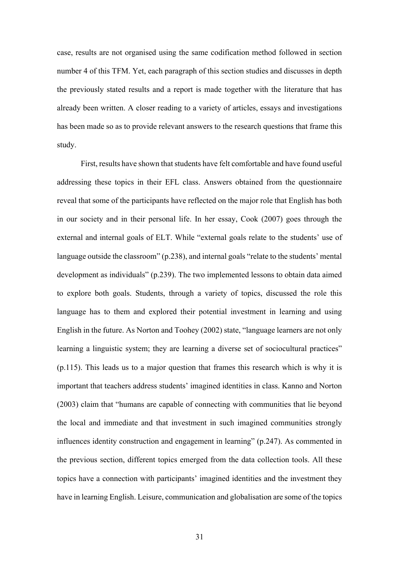case, results are not organised using the same codification method followed in section number 4 of this TFM. Yet, each paragraph of this section studies and discusses in depth the previously stated results and a report is made together with the literature that has already been written. A closer reading to a variety of articles, essays and investigations has been made so as to provide relevant answers to the research questions that frame this study.

First, results have shown that students have felt comfortable and have found useful addressing these topics in their EFL class. Answers obtained from the questionnaire reveal that some of the participants have reflected on the major role that English has both in our society and in their personal life. In her essay, Cook (2007) goes through the external and internal goals of ELT. While "external goals relate to the students' use of language outside the classroom" (p.238), and internal goals "relate to the students' mental development as individuals" (p.239). The two implemented lessons to obtain data aimed to explore both goals. Students, through a variety of topics, discussed the role this language has to them and explored their potential investment in learning and using English in the future. As Norton and Toohey (2002) state, "language learners are not only learning a linguistic system; they are learning a diverse set of sociocultural practices" (p.115). This leads us to a major question that frames this research which is why it is important that teachers address students' imagined identities in class. Kanno and Norton (2003) claim that "humans are capable of connecting with communities that lie beyond the local and immediate and that investment in such imagined communities strongly influences identity construction and engagement in learning" (p.247). As commented in the previous section, different topics emerged from the data collection tools. All these topics have a connection with participants' imagined identities and the investment they have in learning English. Leisure, communication and globalisation are some of the topics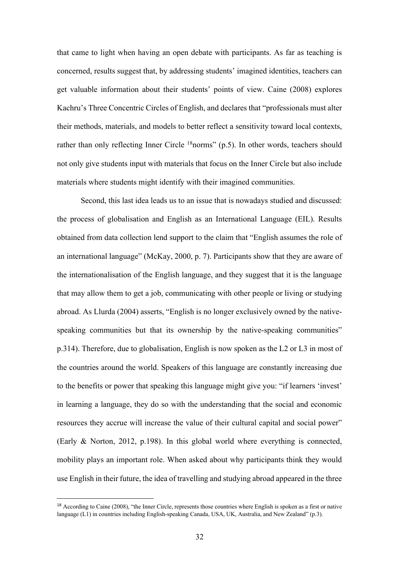that came to light when having an open debate with participants. As far as teaching is concerned, results suggest that, by addressing students' imagined identities, teachers can get valuable information about their students' points of view. Caine (2008) explores Kachru's Three Concentric Circles of English, and declares that "professionals must alter their methods, materials, and models to better reflect a sensitivity toward local contexts, rather than only reflecting Inner Circle  $^{18}$ norms" (p.5). In other words, teachers should not only give students input with materials that focus on the Inner Circle but also include materials where students might identify with their imagined communities.

Second, this last idea leads us to an issue that is nowadays studied and discussed: the process of globalisation and English as an International Language (EIL). Results obtained from data collection lend support to the claim that "English assumes the role of an international language" (McKay, 2000, p. 7). Participants show that they are aware of the internationalisation of the English language, and they suggest that it is the language that may allow them to get a job, communicating with other people or living or studying abroad. As Llurda (2004) asserts, "English is no longer exclusively owned by the nativespeaking communities but that its ownership by the native-speaking communities" p.314). Therefore, due to globalisation, English is now spoken as the L2 or L3 in most of the countries around the world. Speakers of this language are constantly increasing due to the benefits or power that speaking this language might give you: "if learners 'invest' in learning a language, they do so with the understanding that the social and economic resources they accrue will increase the value of their cultural capital and social power" (Early & Norton, 2012, p.198). In this global world where everything is connected, mobility plays an important role. When asked about why participants think they would use English in their future, the idea of travelling and studying abroad appeared in the three

<sup>&</sup>lt;sup>18</sup> According to Caine (2008), "the Inner Circle, represents those countries where English is spoken as a first or native language (L1) in countries including English-speaking Canada, USA, UK, Australia, and New Zealand" (p.3).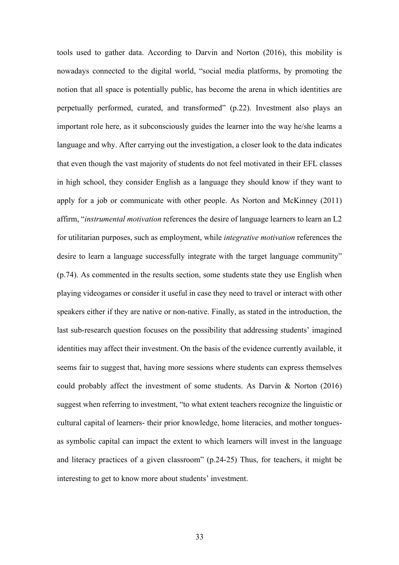tools used to gather data. According to Darvin and Norton (2016), this mobility is nowadays connected to the digital world, "social media platforms, by promoting the notion that all space is potentially public, has become the arena in which identities are perpetually performed, curated, and transformed" (p.22). Investment also plays an important role here, as it subconsciously guides the learner into the way he/she learns a language and why. After carrying out the investigation, a closer look to the data indicates that even though the vast majority of students do not feel motivated in their EFL classes in high school, they consider English as a language they should know if they want to apply for a job or communicate with other people. As Norton and McKinney (2011) affirm, "*instrumental motivation* references the desire of language learners to learn an L2 for utilitarian purposes, such as employment, while *integrative motivation* references the desire to learn a language successfully integrate with the target language community" (p.74). As commented in the results section, some students state they use English when playing videogames or consider it useful in case they need to travel or interact with other speakers either if they are native or non-native. Finally, as stated in the introduction, the last sub-research question focuses on the possibility that addressing students' imagined identities may affect their investment. On the basis of the evidence currently available, it seems fair to suggest that, having more sessions where students can express themselves could probably affect the investment of some students. As Darvin & Norton (2016) suggest when referring to investment, "to what extent teachers recognize the linguistic or cultural capital of learners- their prior knowledge, home literacies, and mother tonguesas symbolic capital can impact the extent to which learners will invest in the language and literacy practices of a given classroom" (p.24-25) Thus, for teachers, it might be interesting to get to know more about students' investment.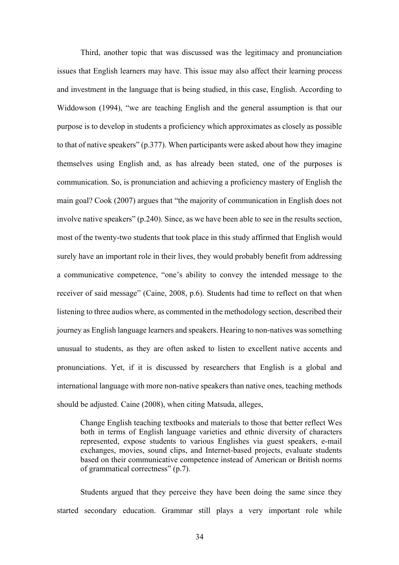Third, another topic that was discussed was the legitimacy and pronunciation issues that English learners may have. This issue may also affect their learning process and investment in the language that is being studied, in this case, English. According to Widdowson (1994), "we are teaching English and the general assumption is that our purpose is to develop in students a proficiency which approximates as closely as possible to that of native speakers" (p.377). When participants were asked about how they imagine themselves using English and, as has already been stated, one of the purposes is communication. So, is pronunciation and achieving a proficiency mastery of English the main goal? Cook (2007) argues that "the majority of communication in English does not involve native speakers" (p.240). Since, as we have been able to see in the results section, most of the twenty-two students that took place in this study affirmed that English would surely have an important role in their lives, they would probably benefit from addressing a communicative competence, "one's ability to convey the intended message to the receiver of said message" (Caine, 2008, p.6). Students had time to reflect on that when listening to three audios where, as commented in the methodology section, described their journey as English language learners and speakers. Hearing to non-natives was something unusual to students, as they are often asked to listen to excellent native accents and pronunciations. Yet, if it is discussed by researchers that English is a global and international language with more non-native speakers than native ones, teaching methods should be adjusted. Caine (2008), when citing Matsuda, alleges,

Change English teaching textbooks and materials to those that better reflect Wes both in terms of English language varieties and ethnic diversity of characters represented, expose students to various Englishes via guest speakers, e-mail exchanges, movies, sound clips, and Internet-based projects, evaluate students based on their communicative competence instead of American or British norms of grammatical correctness" (p.7).

Students argued that they perceive they have been doing the same since they started secondary education. Grammar still plays a very important role while

34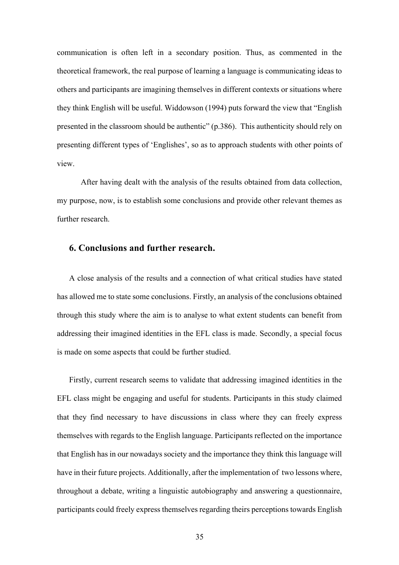communication is often left in a secondary position. Thus, as commented in the theoretical framework, the real purpose of learning a language is communicating ideas to others and participants are imagining themselves in different contexts or situations where they think English will be useful. Widdowson (1994) puts forward the view that "English presented in the classroom should be authentic" (p.386). This authenticity should rely on presenting different types of 'Englishes', so as to approach students with other points of view.

After having dealt with the analysis of the results obtained from data collection, my purpose, now, is to establish some conclusions and provide other relevant themes as further research.

## **6. Conclusions and further research.**

A close analysis of the results and a connection of what critical studies have stated has allowed me to state some conclusions. Firstly, an analysis of the conclusions obtained through this study where the aim is to analyse to what extent students can benefit from addressing their imagined identities in the EFL class is made. Secondly, a special focus is made on some aspects that could be further studied.

Firstly, current research seems to validate that addressing imagined identities in the EFL class might be engaging and useful for students. Participants in this study claimed that they find necessary to have discussions in class where they can freely express themselves with regards to the English language. Participants reflected on the importance that English has in our nowadays society and the importance they think this language will have in their future projects. Additionally, after the implementation of two lessons where, throughout a debate, writing a linguistic autobiography and answering a questionnaire, participants could freely express themselves regarding theirs perceptions towards English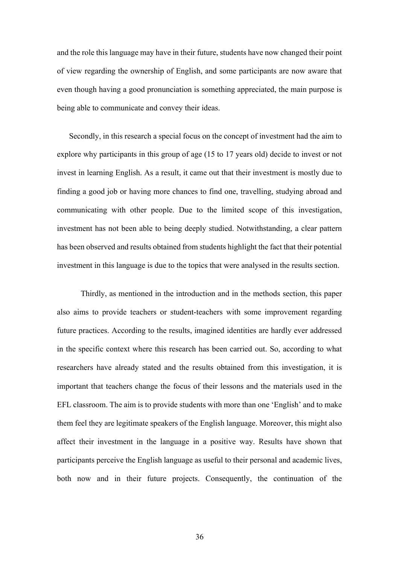and the role this language may have in their future, students have now changed their point of view regarding the ownership of English, and some participants are now aware that even though having a good pronunciation is something appreciated, the main purpose is being able to communicate and convey their ideas.

Secondly, in this research a special focus on the concept of investment had the aim to explore why participants in this group of age (15 to 17 years old) decide to invest or not invest in learning English. As a result, it came out that their investment is mostly due to finding a good job or having more chances to find one, travelling, studying abroad and communicating with other people. Due to the limited scope of this investigation, investment has not been able to being deeply studied. Notwithstanding, a clear pattern has been observed and results obtained from students highlight the fact that their potential investment in this language is due to the topics that were analysed in the results section.

Thirdly, as mentioned in the introduction and in the methods section, this paper also aims to provide teachers or student-teachers with some improvement regarding future practices. According to the results, imagined identities are hardly ever addressed in the specific context where this research has been carried out. So, according to what researchers have already stated and the results obtained from this investigation, it is important that teachers change the focus of their lessons and the materials used in the EFL classroom. The aim is to provide students with more than one 'English' and to make them feel they are legitimate speakers of the English language. Moreover, this might also affect their investment in the language in a positive way. Results have shown that participants perceive the English language as useful to their personal and academic lives, both now and in their future projects. Consequently, the continuation of the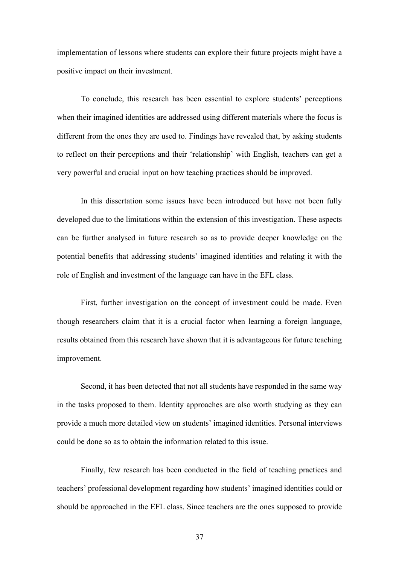implementation of lessons where students can explore their future projects might have a positive impact on their investment.

To conclude, this research has been essential to explore students' perceptions when their imagined identities are addressed using different materials where the focus is different from the ones they are used to. Findings have revealed that, by asking students to reflect on their perceptions and their 'relationship' with English, teachers can get a very powerful and crucial input on how teaching practices should be improved.

In this dissertation some issues have been introduced but have not been fully developed due to the limitations within the extension of this investigation. These aspects can be further analysed in future research so as to provide deeper knowledge on the potential benefits that addressing students' imagined identities and relating it with the role of English and investment of the language can have in the EFL class.

First, further investigation on the concept of investment could be made. Even though researchers claim that it is a crucial factor when learning a foreign language, results obtained from this research have shown that it is advantageous for future teaching improvement.

Second, it has been detected that not all students have responded in the same way in the tasks proposed to them. Identity approaches are also worth studying as they can provide a much more detailed view on students' imagined identities. Personal interviews could be done so as to obtain the information related to this issue.

Finally, few research has been conducted in the field of teaching practices and teachers' professional development regarding how students' imagined identities could or should be approached in the EFL class. Since teachers are the ones supposed to provide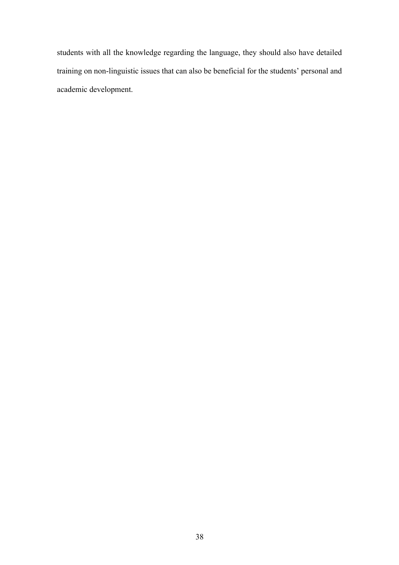students with all the knowledge regarding the language, they should also have detailed training on non-linguistic issues that can also be beneficial for the students' personal and academic development.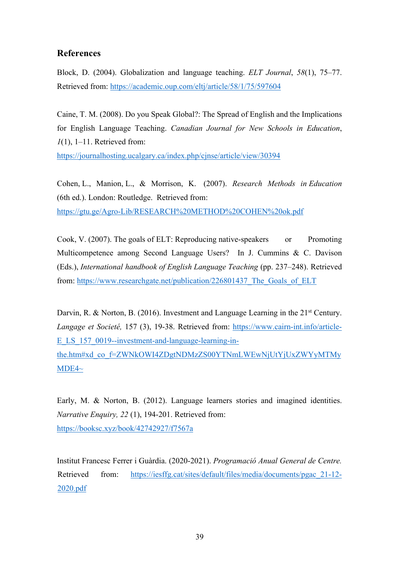## **References**

Block, D. (2004). Globalization and language teaching. *ELT Journal*, *58*(1), 75–77. Retrieved from: https://academic.oup.com/eltj/article/58/1/75/597604

Caine, T. M. (2008). Do you Speak Global?: The Spread of English and the Implications for English Language Teaching. *Canadian Journal for New Schools in Education*, *1*(1), 1–11. Retrieved from:

https://journalhosting.ucalgary.ca/index.php/cjnse/article/view/30394

Cohen, L., Manion, L., & Morrison, K. (2007). *Research Methods in Education*  (6th ed.). London: Routledge. Retrieved from: https://gtu.ge/Agro-Lib/RESEARCH%20METHOD%20COHEN%20ok.pdf

Cook, V. (2007). The goals of ELT: Reproducing native-speakers or Promoting Multicompetence among Second Language Users? In J. Cummins & C. Davison (Eds.), *International handbook of English Language Teaching* (pp. 237–248). Retrieved from: https://www.researchgate.net/publication/226801437 The Goals of ELT

Darvin, R. & Norton, B. (2016). Investment and Language Learning in the 21<sup>st</sup> Century. *Langage et Societé,* 157 (3), 19-38. Retrieved from: https://www.cairn-int.info/article-E\_LS\_157\_0019--investment-and-language-learning-inthe.htm#xd\_co\_f=ZWNkOWI4ZDgtNDMzZS00YTNmLWEwNjUtYjUxZWYyMTMy  $MDE4~$ 

Early, M. & Norton, B. (2012). Language learners stories and imagined identities. *Narrative Enquiry, 22* (1), 194-201. Retrieved from: https://booksc.xyz/book/42742927/f7567a

Institut Francesc Ferrer i Guàrdia. (2020-2021). *Programació Anual General de Centre.* Retrieved from: https://iesffg.cat/sites/default/files/media/documents/pgac\_21-12- 2020.pdf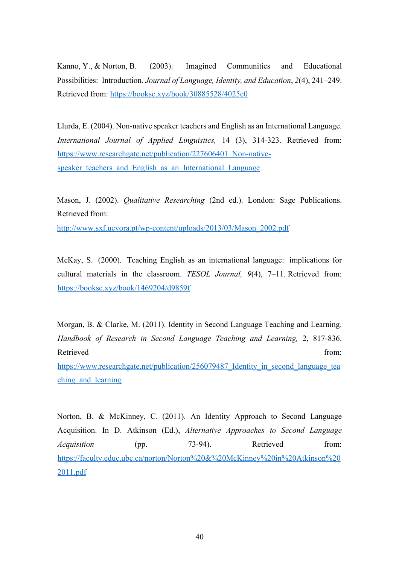Kanno, Y., & Norton, B. (2003). Imagined Communities and Educational Possibilities: Introduction. *Journal of Language, Identity, and Education*, *2*(4), 241–249. Retrieved from: https://booksc.xyz/book/30885528/4025e0

Llurda, E. (2004). Non-native speaker teachers and English as an International Language. *International Journal of Applied Linguistics,* 14 (3), 314-323. Retrieved from: https://www.researchgate.net/publication/227606401 Non-nativespeaker teachers and English as an International Language

Mason, J. (2002). *Qualitative Researching* (2nd ed.). London: Sage Publications. Retrieved from:

http://www.sxf.uevora.pt/wp-content/uploads/2013/03/Mason\_2002.pdf

McKay, S. (2000). Teaching English as an international language: implications for cultural materials in the classroom. *TESOL Journal, 9*(4), 7–11. Retrieved from: https://booksc.xyz/book/1469204/d9859f

Morgan, B. & Clarke, M. (2011). Identity in Second Language Teaching and Learning. *Handbook of Research in Second Language Teaching and Learning,* 2, 817-836. Retrieved from:

https://www.researchgate.net/publication/256079487 Identity in second language tea ching and learning

Norton, B. & McKinney, C. (2011). An Identity Approach to Second Language Acquisition. In D. Atkinson (Ed.), *Alternative Approaches to Second Language Acquisition* (pp. 73-94). Retrieved from: https://faculty.educ.ubc.ca/norton/Norton%20&%20McKinney%20in%20Atkinson%20 2011.pdf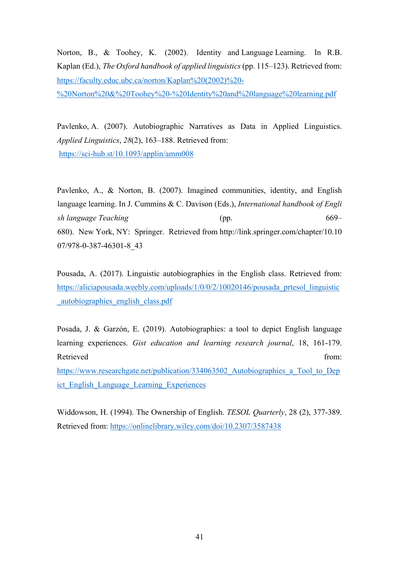Norton, B., & Toohey, K. (2002). Identity and Language Learning. In R.B. Kaplan (Ed.), *The Oxford handbook of applied linguistics* (pp. 115–123). Retrieved from: https://faculty.educ.ubc.ca/norton/Kaplan%20(2002)%20- %20Norton%20&%20Toohey%20-%20Identity%20and%20language%20learning.pdf

Pavlenko, A. (2007). Autobiographic Narratives as Data in Applied Linguistics. *Applied Linguistics*, *28*(2), 163–188. Retrieved from: https://sci-hub.st/10.1093/applin/amm008

Pavlenko, A., & Norton, B. (2007). Imagined communities, identity, and English language learning. In J. Cummins & C. Davison (Eds.), *International handbook of Engli sh language Teaching* (pp. 669– 680). New York, NY: Springer. Retrieved from http://link.springer.com/chapter/10.10 07/978-0-387-46301-8\_43

Pousada, A. (2017). Linguistic autobiographies in the English class. Retrieved from: https://aliciapousada.weebly.com/uploads/1/0/0/2/10020146/pousada\_prtesol\_linguistic \_autobiographies\_english\_class.pdf

Posada, J. & Garzón, E. (2019). Autobiographies: a tool to depict English language learning experiences. *Gist education and learning research journal*, 18, 161-179. Retrieved from: https://www.researchgate.net/publication/334063502 Autobiographies a Tool to Dep ict English Language Learning Experiences

Widdowson, H. (1994). The Ownership of English. *TESOL Quarterly*, 28 (2), 377-389. Retrieved from: https://onlinelibrary.wiley.com/doi/10.2307/3587438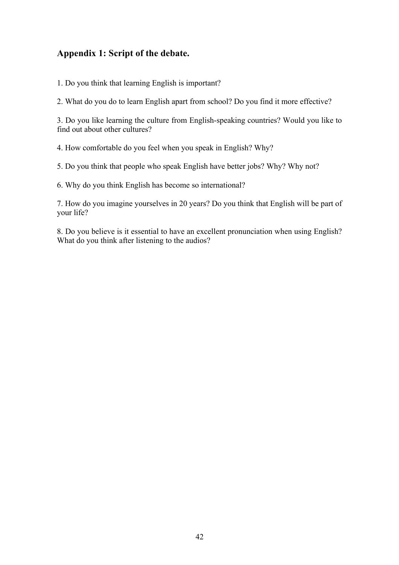## **Appendix 1: Script of the debate.**

1. Do you think that learning English is important?

2. What do you do to learn English apart from school? Do you find it more effective?

3. Do you like learning the culture from English-speaking countries? Would you like to find out about other cultures?

4. How comfortable do you feel when you speak in English? Why?

5. Do you think that people who speak English have better jobs? Why? Why not?

6. Why do you think English has become so international?

7. How do you imagine yourselves in 20 years? Do you think that English will be part of your life?

8. Do you believe is it essential to have an excellent pronunciation when using English? What do you think after listening to the audios?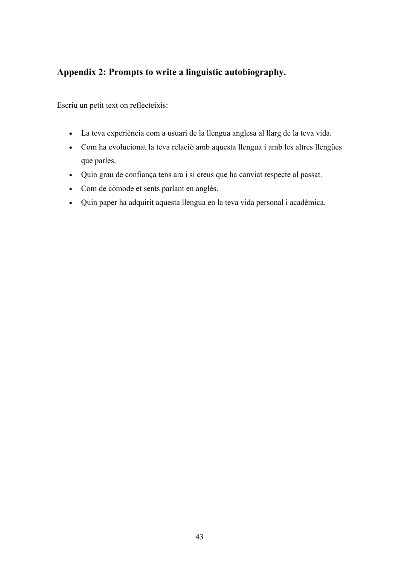## **Appendix 2: Prompts to write a linguistic autobiography.**

Escriu un petit text on reflecteixis:

- La teva experiència com a usuari de la llengua anglesa al llarg de la teva vida.
- Com ha evolucionat la teva relació amb aquesta llengua i amb les altres llengües que parles.
- Quin grau de confiança tens ara i si creus que ha canviat respecte al passat.
- Com de còmode et sents parlant en anglès.
- Quin paper ha adquirit aquesta llengua en la teva vida personal i acadèmica.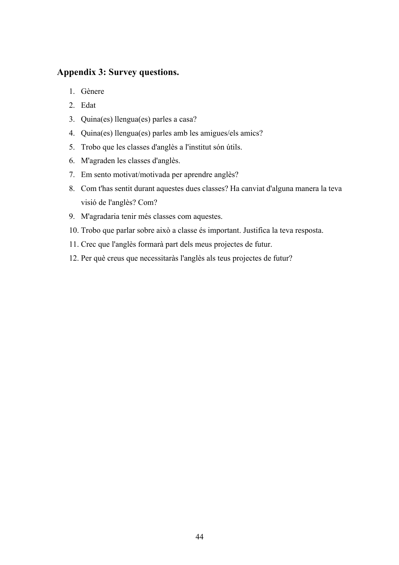## **Appendix 3: Survey questions.**

- 1. Gènere
- 2. Edat
- 3. Quina(es) llengua(es) parles a casa?
- 4. Quina(es) llengua(es) parles amb les amigues/els amics?
- 5. Trobo que les classes d'anglès a l'institut són útils.
- 6. M'agraden les classes d'anglès.
- 7. Em sento motivat/motivada per aprendre anglès?
- 8. Com t'has sentit durant aquestes dues classes? Ha canviat d'alguna manera la teva visió de l'anglès? Com?
- 9. M'agradaria tenir més classes com aquestes.
- 10. Trobo que parlar sobre això a classe és important. Justifica la teva resposta.
- 11. Crec que l'anglès formarà part dels meus projectes de futur.
- 12. Per què creus que necessitaràs l'anglès als teus projectes de futur?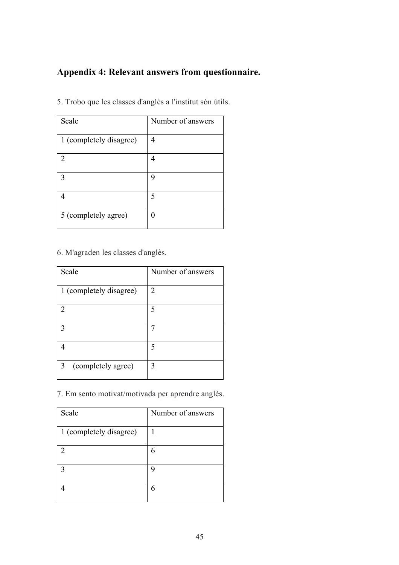# **Appendix 4: Relevant answers from questionnaire.**

| Scale                   | Number of answers |
|-------------------------|-------------------|
| 1 (completely disagree) |                   |
| 2                       |                   |
| 3                       | 9                 |
|                         | 5                 |
| 5 (completely agree)    |                   |

5. Trobo que les classes d'anglès a l'institut són útils.

6. M'agraden les classes d'anglès.

| Scale                       | Number of answers |
|-----------------------------|-------------------|
| 1 (completely disagree)     | 2                 |
| $\mathcal{D}_{\mathcal{L}}$ | 5                 |
| ζ                           |                   |
|                             | 5                 |
| (completely agree)<br>3     | 3                 |

7. Em sento motivat/motivada per aprendre anglès.

| Scale                   | Number of answers |
|-------------------------|-------------------|
| 1 (completely disagree) |                   |
| $\mathfrak{D}$          | 6                 |
|                         | 9                 |
|                         | 6                 |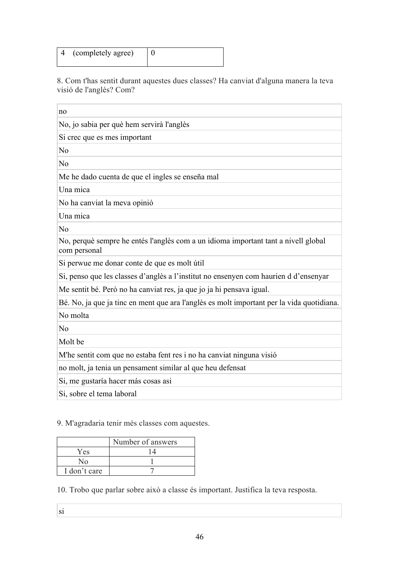| (completely agree) |  |
|--------------------|--|
|                    |  |

8. Com t'has sentit durant aquestes dues classes? Ha canviat d'alguna manera la teva visió de l'anglès? Com?

| no                                                                                                 |
|----------------------------------------------------------------------------------------------------|
| No, jo sabia per què hem servirà l'anglès                                                          |
| Si crec que es mes important                                                                       |
| N <sub>o</sub>                                                                                     |
| N <sub>o</sub>                                                                                     |
| Me he dado cuenta de que el ingles se enseña mal                                                   |
| Una mica                                                                                           |
| No ha canviat la meva opinió                                                                       |
| Una mica                                                                                           |
| N <sub>o</sub>                                                                                     |
| No, perquè sempre he entés l'anglès com a un idioma important tant a nivell global<br>com personal |
| Si perwue me donar conte de que es molt útil                                                       |
| Si, penso que les classes d'anglès a l'institut no ensenyen com haurien d d'ensenyar               |
| Me sentit bé. Però no ha canviat res, ja que jo ja hi pensava igual.                               |
| Bé. No, ja que ja tinc en ment que ara l'anglès es molt important per la vida quotidiana.          |
| No molta                                                                                           |
| No                                                                                                 |
| Molt be                                                                                            |
| M'he sentit com que no estaba fent res i no ha canviat ninguna visió                               |
| no molt, ja tenia un pensament similar al que heu defensat                                         |
| Si, me gustaría hacer más cosas asi                                                                |
|                                                                                                    |
| Si, sobre el tema laboral                                                                          |

9. M'agradaria tenir més classes com aquestes.

| Number of answers |  |  |  |  |  |  |
|-------------------|--|--|--|--|--|--|
| Yes               |  |  |  |  |  |  |
| N٥                |  |  |  |  |  |  |
| I don't care      |  |  |  |  |  |  |

10. Trobo que parlar sobre això a classe és important. Justifica la teva resposta.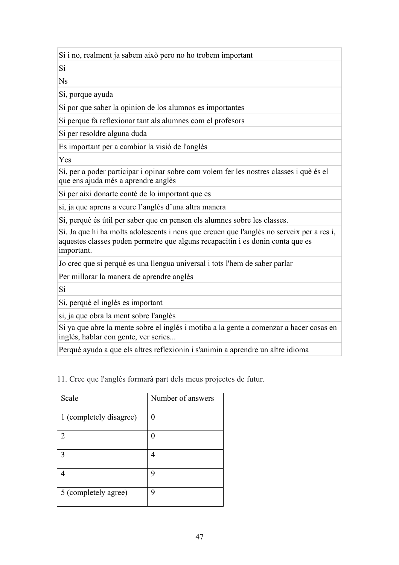|  |  |  |  |  |  |  |  |  |  |  |  |  | Si i no, realment ja sabem això pero no ho trobem important |  |
|--|--|--|--|--|--|--|--|--|--|--|--|--|-------------------------------------------------------------|--|
|--|--|--|--|--|--|--|--|--|--|--|--|--|-------------------------------------------------------------|--|

Si Ns

Si, porque ayuda

Si por que saber la opinion de los alumnos es importantes

Si perque fa reflexionar tant als alumnes com el profesors

Si per resoldre alguna duda

Es important per a cambiar la visió de l'anglès

Yes

Sí, per a poder participar i opinar sobre com volem fer les nostres classes i què és el que ens ajuda més a aprendre anglès

Si per aixi donarte conté de lo important que es

si, ja que aprens a veure l'anglès d'una altra manera

Sí, perquè és útil per saber que en pensen els alumnes sobre les classes.

Si. Ja que hi ha molts adolescents i nens que creuen que l'anglès no serveix per a res i, aquestes classes poden permetre que alguns recapacitin i es donin conta que es important.

Jo crec que si perquè es una llengua universal i tots l'hem de saber parlar

Per millorar la manera de aprendre anglès

Si

Si, perquè el inglés es important

si, ja que obra la ment sobre l'anglès

Si ya que abre la mente sobre el inglés i motiba a la gente a comenzar a hacer cosas en inglés, hablar con gente, ver series...

Perquè ayuda a que els altres reflexionin i s'animin a aprendre un altre idioma

11. Crec que l'anglès formarà part dels meus projectes de futur.

| Scale                       | Number of answers |
|-----------------------------|-------------------|
| 1 (completely disagree)     |                   |
| $\mathcal{D}_{\mathcal{D}}$ |                   |
| ζ                           | 4                 |
|                             | 9                 |
| 5 (completely agree)        | q                 |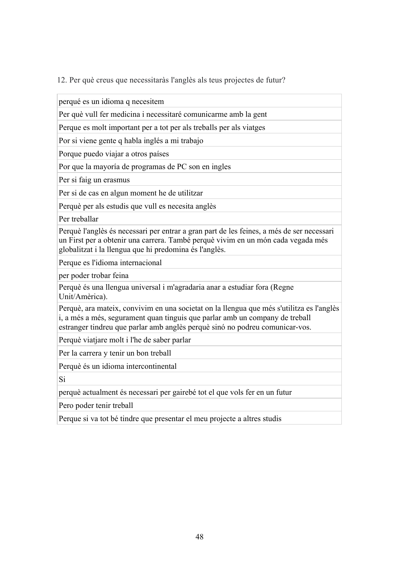12. Per què creus que necessitaràs l'anglès als teus projectes de futur?

perqué es un idioma q necesitem

Per què vull fer medicina i necessitaré comunicarme amb la gent

Perque es molt important per a tot per als treballs per als viatges

Por si viene gente q habla inglés a mi trabajo

Porque puedo viajar a otros países

Por que la mayoría de programas de PC son en ingles

Per si faig un erasmus

Per si de cas en algun moment he de utilitzar

Perquè per als estudis que vull es necesita anglès

Per treballar

Perquè l'anglès és necessari per entrar a gran part de les feines, a més de ser necessari un First per a obtenir una carrera. També perquè vivim en un món cada vegada més globalitzat i la llengua que hi predomina és l'anglès.

Perque es l'idioma internacional

per poder trobar feina

Perquè és una llengua universal i m'agradaria anar a estudiar fora (Regne Unit/Amèrica).

Perquè, ara mateix, convivim en una societat on la llengua que més s'utilitza es l'anglès i, a més a més, segurament quan tinguis que parlar amb un company de treball estranger tindreu que parlar amb anglès perquè sinó no podreu comunicar-vos.

Perquè viatjare molt i l'he de saber parlar

Per la carrera y tenir un bon treball

Perquè és un idioma intercontinental

Si

perquè actualment és necessari per gairebé tot el que vols fer en un futur

Pero poder tenir treball

Perque si va tot bé tindre que presentar el meu projecte a altres studis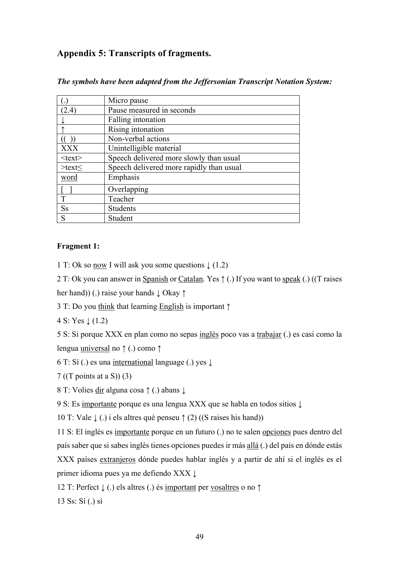## **Appendix 5: Transcripts of fragments.**

|                | Micro pause                              |
|----------------|------------------------------------------|
| (2.4)          | Pause measured in seconds                |
|                | Falling intonation                       |
|                | Rising intonation                        |
|                | Non-verbal actions                       |
| <b>XXX</b>     | Unintelligible material                  |
| $<$ text $>$   | Speech delivered more slowly than usual  |
| $>\text{text}$ | Speech delivered more rapidly than usual |
| word           | Emphasis                                 |
|                | Overlapping                              |
| T              | Teacher                                  |
| <b>Ss</b>      | <b>Students</b>                          |
| S              | Student                                  |

*The symbols have been adapted from the Jeffersonian Transcript Notation System:*

## **Fragment 1:**

1 T: Ok so now I will ask you some questions  $\downarrow$  (1.2)

2 T: Ok you can answer in Spanish or Catalan. Yes ↑ (.) If you want to speak (.) ((T raises

her hand)) (.) raise your hands ↓ Okay ↑

3 T: Do you think that learning English is important ↑

4 S: Yes  $\downarrow$  (1.2)

5 S: Si porque XXX en plan como no sepas inglés poco vas a trabajar (.) es casi como la lengua universal no ↑ (.) como ↑

6 T: Sí (.) es una international language (.) yes ↓

7 ((T points at a S)) (3)

8 T: Volies dir alguna cosa ↑ (.) abans ↓

9 S: Es importante porque es una lengua XXX que se habla en todos sitios ↓

10 T: Vale ↓ (.) i els altres què penseu ↑ (2) ((S raises his hand))

11 S: El inglés es importante porque en un futuro (.) no te salen opciones pues dentro del país saber que si sabes inglés tienes opciones puedes ir más allá (.) del país en dónde estás XXX países extranjeros dónde puedes hablar inglés y a partir de ahí si el inglés es el primer idioma pues ya me defiendo XXX ↓

12 T: Perfect ↓ (.) els altres (.) és important per vosaltres o no ↑

13 Ss: Sí (.) sí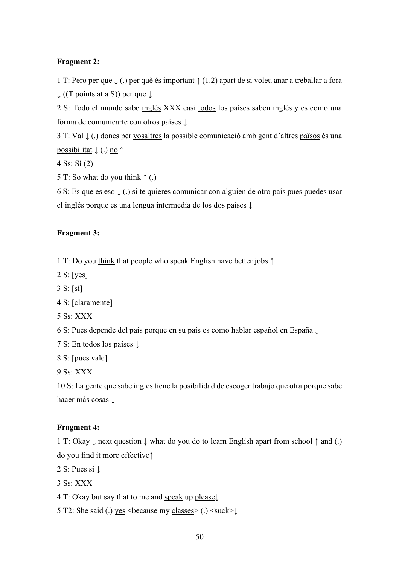## **Fragment 2:**

1 T: Pero per que ↓ (.) per què és important ↑ (1.2) apart de si voleu anar a treballar a fora

 $\downarrow$  ((T points at a S)) per que  $\downarrow$ 

2 S: Todo el mundo sabe inglés XXX casi todos los países saben inglés y es como una forma de comunicarte con otros países ↓

3 T: Val ↓ (.) doncs per vosaltres la possible comunicació amb gent d'altres països és una possibilitat ↓ (.) no ↑

4 Ss: Sí (2)

5 T: So what do you think  $\uparrow$  (.)

6 S: Es que es eso ↓ (.) si te quieres comunicar con alguien de otro país pues puedes usar el inglés porque es una lengua intermedia de los dos países ↓

## **Fragment 3:**

1 T: Do you think that people who speak English have better jobs ↑

- 2 S: [yes]
- 3 S: [sí]
- 4 S: [claramente]
- 5 Ss: XXX

6 S: Pues depende del país porque en su país es como hablar español en España ↓

7 S: En todos los países ↓

8 S: [pues vale]

9 Ss: XXX

10 S: La gente que sabe inglés tiene la posibilidad de escoger trabajo que otra porque sabe hacer más cosas ↓

## **Fragment 4:**

1 T: Okay ↓ next question ↓ what do you do to learn English apart from school ↑ and (.) do you find it more effective↑

2 S: Pues si ↓

3 Ss: XXX

4 T: Okay but say that to me and speak up please

5 T2: She said (.) yes <br/>because my classes> (.) <suck> $\downarrow$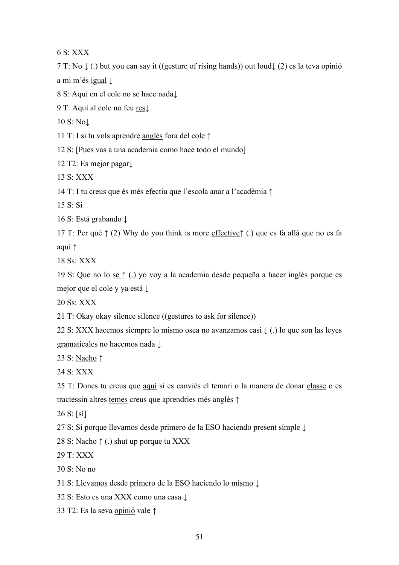6 S: XXX

7 T: No ↓ (.) but you can say it ((gesture of rising hands)) out loud↓ (2) es la teva opinió a mi m'és igual ↓

8 S: Aquí en el cole no se hace nada↓

9 T: Aquí al cole no feu res↓

10 S: No↓

11 T: I si tu vols aprendre anglès fora del cole ↑

12 S: [Pues vas a una academia como hace todo el mundo]

12 T2: Es mejor pagar↓

13 S: XXX

14 T: I tu creus que és més efectiu que l'escola anar a l'acadèmia ↑

15 S: Sí

16 S: Está grabando ↓

17 T: Per què ↑ (2) Why do you think is more effective↑ (.) que es fa allà que no es fa aquí ↑

18 Ss: XXX

19 S: Que no lo se ↑ (.) yo voy a la academia desde pequeña a hacer inglés porque es mejor que el cole y ya está ↓

20 Ss: XXX

21 T: Okay okay silence silence ((gestures to ask for silence))

22 S: XXX hacemos siempre lo mismo osea no avanzamos casi ↓ (.) lo que son las leyes gramaticales no hacemos nada ↓

23 S: Nacho ↑

24 S: XXX

25 T: Doncs tu creus que aquí si es canviés el temari o la manera de donar classe o es tractessin altres temes creus que aprendries més anglès ↑

26 S: [sí]

27 S: Sí porque llevamos desde primero de la ESO haciendo present simple ↓

28 S: Nacho ↑ (.) shut up porque tu XXX

29 T: XXX

30 S: No no

31 S: Llevamos desde primero de la ESO haciendo lo mismo ↓

32 S: Esto es una XXX como una casa ↓

33 T2: Es la seva opinió vale ↑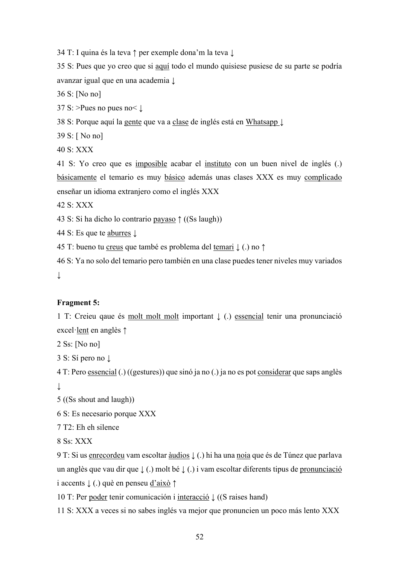34 T: I quina és la teva ↑ per exemple dona'm la teva ↓

35 S: Pues que yo creo que si aquí todo el mundo quisiese pusiese de su parte se podría avanzar igual que en una academia ↓

36 S: [No no]

37 S: > Pues no pues no  $\downarrow$ 

38 S: Porque aquí la gente que va a clase de inglés está en Whatsapp ↓

39 S: [ No no]

40 S: XXX

41 S: Yo creo que es imposible acabar el instituto con un buen nivel de inglés (.) básicamente el temario es muy básico además unas clases XXX es muy complicado enseñar un idioma extranjero como el inglés XXX

42 S: XXX

43 S: Si ha dicho lo contrario payaso ↑ ((Ss laugh))

44 S: Es que te aburres ↓

45 T: bueno tu creus que també es problema del temari ↓ (.) no ↑

46 S: Ya no solo del temario pero también en una clase puedes tener niveles muy variados ↓

#### **Fragment 5:**

1 T: Creieu qaue és molt molt molt important ↓ (.) essencial tenir una pronunciació excel·lent en anglès ↑

2 Ss: [No no]

3 S: Sí pero no ↓

4 T: Pero essencial (.) ((gestures)) que sinó ja no (.) ja no es pot considerar que saps anglès  $\perp$ 

5 ((Ss shout and laugh))

6 S: Es necesario porque XXX

7 T2: Eh eh silence

8 Ss: XXX

9 T: Si us enrecordeu vam escoltar àudios ↓ (.) hi ha una noia que és de Túnez que parlava un anglès que vau dir que ↓ (.) molt bé ↓ (.) i vam escoltar diferents tipus de pronunciació i accents ↓ (.) què en penseu d'això ↑

10 T: Per poder tenir comunicación i interacció ↓ ((S raises hand)

11 S: XXX a veces si no sabes inglés va mejor que pronuncien un poco más lento XXX